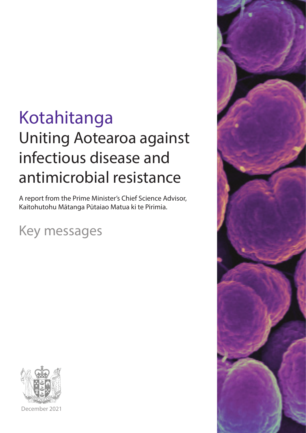# Kotahitanga Uniting Aotearoa against infectious disease and antimicrobial resistance

A report from the Prime Minister's Chief Science Advisor, Kaitohutohu Mātanga Pūtaiao Matua ki te Pirimia.

Key messages



December 2021

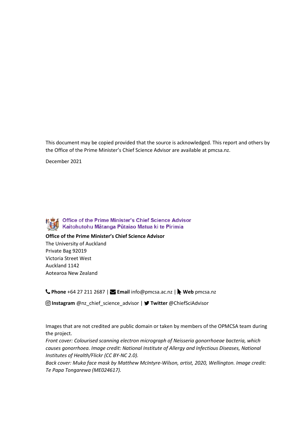This document may be copied provided that the source is acknowledged. This report and others by the Office of the Prime Minister's Chief Science Advisor are available at pmcsa.nz.

December 2021



**Office of the Prime Minister's Chief Science Advisor**

The University of Auckland Private Bag 92019 Victoria Street West Auckland 1142 Aotearoa New Zealand

**Phone** +64 27 211 2687 | **Email** info@pmcsa.ac.nz | **Web** pmcsa.nz

**Instagram** @nz\_chief\_science\_advisor | **Twitter** @ChiefSciAdvisor

Images that are not credited are public domain or taken by members of the OPMCSA team during the project.

*Front cover: Colourised scanning electron micrograph of Neisseria gonorrhoeae bacteria, which causes gonorrhoea. Image credit: National Institute of Allergy and Infectious Diseases, National Institutes of Health[/Flickr](https://flic.kr/p/Dkibj3) [\(CC BY-NC 2.0\)](https://creativecommons.org/licenses/by-nc/2.0/).* 

*Back cover: Muka face mask by Matthew McIntyre-Wilson, artist, 2020, Wellington. Image credit: Te Papa Tongarewa (ME024617).*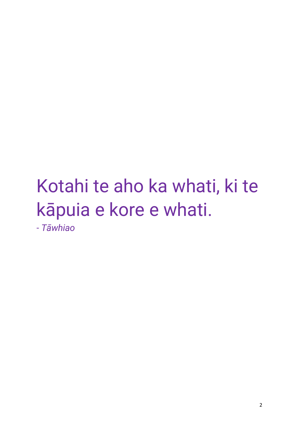# Kotahi te aho ka whati, ki te kāpuia e kore e whati.

- *Tāwhiao*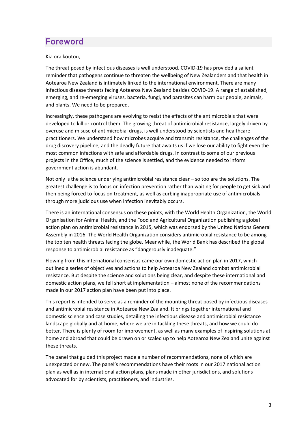# Foreword

Kia ora koutou,

The threat posed by infectious diseases is well understood. COVID-19 has provided a salient reminder that pathogens continue to threaten the wellbeing of New Zealanders and that health in Aotearoa New Zealand is intimately linked to the international environment. There are many infectious disease threats facing Aotearoa New Zealand besides COVID-19. A range of established, emerging, and re-emerging viruses, bacteria, fungi, and parasites can harm our people, animals, and plants. We need to be prepared.

Increasingly, these pathogens are evolving to resist the effects of the antimicrobials that were developed to kill or control them. The growing threat of antimicrobial resistance, largely driven by overuse and misuse of antimicrobial drugs, is well understood by scientists and healthcare practitioners. We understand how microbes acquire and transmit resistance, the challenges of the drug discovery pipeline, and the deadly future that awaits us if we lose our ability to fight even the most common infections with safe and affordable drugs. In contrast to some of our previous projects in the Office, much of the science is settled, and the evidence needed to inform government action is abundant.

Not only is the science underlying antimicrobial resistance clear – so too are the solutions. The greatest challenge is to focus on infection prevention rather than waiting for people to get sick and then being forced to focus on treatment, as well as curbing inappropriate use of antimicrobials through more judicious use when infection inevitably occurs.

There is an international consensus on these points, with the World Health Organization, the World Organisation for Animal Health, and the Food and Agricultural Organization publishing a global action plan on antimicrobial resistance in 2015, which was endorsed by the United Nations General Assembly in 2016. The World Health Organization considers antimicrobial resistance to be among the top ten health threats facing the globe. Meanwhile, the World Bank has described the global response to antimicrobial resistance as "dangerously inadequate."

Flowing from this international consensus came our own domestic action plan in 2017, which outlined a series of objectives and actions to help Aotearoa New Zealand combat antimicrobial resistance. But despite the science and solutions being clear, and despite these international and domestic action plans, we fell short at implementation – almost none of the recommendations made in our 2017 action plan have been put into place.

This report is intended to serve as a reminder of the mounting threat posed by infectious diseases and antimicrobial resistance in Aotearoa New Zealand. It brings together international and domestic science and case studies, detailing the infectious disease and antimicrobial resistance landscape globally and at home, where we are in tackling these threats, and how we could do better. There is plenty of room for improvement, as well as many examples of inspiring solutions at home and abroad that could be drawn on or scaled up to help Aotearoa New Zealand unite against these threats.

The panel that guided this project made a number of recommendations, none of which are unexpected or new. The panel's recommendations have their roots in our 2017 national action plan as well as in international action plans, plans made in other jurisdictions, and solutions advocated for by scientists, practitioners, and industries.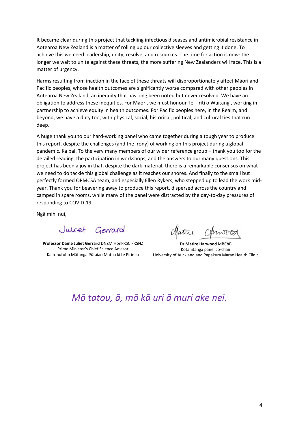It became clear during this project that tackling infectious diseases and antimicrobial resistance in Aotearoa New Zealand is a matter of rolling up our collective sleeves and getting it done. To achieve this we need leadership, unity, resolve, and resources. The time for action is now: the longer we wait to unite against these threats, the more suffering New Zealanders will face. This is a matter of urgency.

Harms resulting from inaction in the face of these threats will disproportionately affect Māori and Pacific peoples, whose health outcomes are significantly worse compared with other peoples in Aotearoa New Zealand, an inequity that has long been noted but never resolved. We have an obligation to address these inequities. For Māori, we must honour Te Tiriti o Waitangi, working in partnership to achieve equity in health outcomes. For Pacific peoples here, in the Realm, and beyond, we have a duty too, with physical, social, historical, political, and cultural ties that run deep.

A huge thank you to our hard-working panel who came together during a tough year to produce this report, despite the challenges (and the irony) of working on this project during a global pandemic. Ka pai. To the very many members of our wider reference group – thank you too for the detailed reading, the participation in workshops, and the answers to our many questions. This project has been a joy in that, despite the dark material, there is a remarkable consensus on what we need to do tackle this global challenge as it reaches our shores. And finally to the small but perfectly formed OPMCSA team, and especially Ellen Rykers, who stepped up to lead the work midyear. Thank you for beavering away to produce this report, dispersed across the country and camped in spare rooms, while many of the panel were distracted by the day-to-day pressures of responding to COVID-19.

Ngā mihi nui,

Juliet Genard

**Professor Dame Juliet Gerrard** DNZM HonFRSC FRSNZ Prime Minister's Chief Science Advisor Kaitohutohu Mātanga Pūtaiao Matua ki te Pirimia

**Dr Matire Harwood** MBChB Kotahitanga panel co-chair University of Auckland and Papakura Marae Health Clinic

# *Mō tatou, ā, mō kā uri ā muri ake nei.*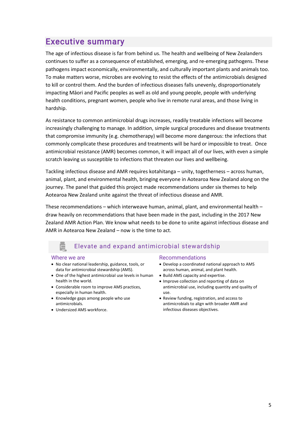# Executive summary

The age of infectious disease is far from behind us. The health and wellbeing of New Zealanders continues to suffer as a consequence of established, emerging, and re-emerging pathogens. These pathogens impact economically, environmentally, and culturally important plants and animals too. To make matters worse, microbes are evolving to resist the effects of the antimicrobials designed to kill or control them. And the burden of infectious diseases falls unevenly, disproportionately impacting Māori and Pacific peoples as well as old and young people, people with underlying health conditions, pregnant women, people who live in remote rural areas, and those living in hardship.

As resistance to common antimicrobial drugs increases, readily treatable infections will become increasingly challenging to manage. In addition, simple surgical procedures and disease treatments that compromise immunity (e.g. chemotherapy) will become more dangerous: the infections that commonly complicate these procedures and treatments will be hard or impossible to treat. Once antimicrobial resistance (AMR) becomes common, it will impact all of our lives, with even a simple scratch leaving us susceptible to infections that threaten our lives and wellbeing.

Tackling infectious disease and AMR requires kotahitanga – unity, togetherness – across human, animal, plant, and environmental health, bringing everyone in Aotearoa New Zealand along on the journey. The panel that guided this project made recommendations under six themes to help Aotearoa New Zealand unite against the threat of infectious disease and AMR.

These recommendations – which interweave human, animal, plant, and environmental health – draw heavily on recommendations that have been made in the past, including in the 2017 New Zealand AMR Action Plan. We know what needs to be done to unite against infectious disease and AMR in Aotearoa New Zealand – now is the time to act.

#### Ę Elevate and expand antimicrobial stewardship

#### Where we are

- No clear national leadership, guidance, tools, or data for antimicrobial stewardship (AMS).
- One of the highest antimicrobial use levels in human health in the world.
- Considerable room to improve AMS practices, especially in human health.
- Knowledge gaps among people who use antimicrobials.
- Undersized AMS workforce.

#### Recommendations

- Develop a coordinated national approach to AMS across human, animal, and plant health.
- Build AMS capacity and expertise.
- Improve collection and reporting of data on antimicrobial use, including quantity and quality of use.
- Review funding, registration, and access to antimicrobials to align with broader AMR and infectious diseases objectives.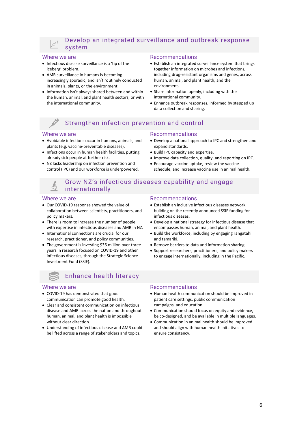### Develop an integrated surveillance and outbreak response system

#### Where we are

 $\begin{array}{c} \circ \\ \circ \\ \circ \\ \circ \end{array}$ 

- Infectious disease surveillance is a 'tip of the iceberg' problem.
- AMR surveillance in humans is becoming increasingly sporadic, and isn't routinely conducted in animals, plants, or the environment.
- Information isn't always shared between and within the human, animal, and plant health sectors, or with the international community.

#### Recommendations

- Establish an integrated surveillance system that brings together information on microbes and infections, including drug-resistant organisms and genes, across human, animal, and plant health, and the environment.
- Share information openly, including with the international community.
- Enhance outbreak responses, informed by stepped up data collection and sharing.

# Strengthen infection prevention and control

#### Where we are

- Avoidable infections occur in humans, animals, and plants (e.g. vaccine-preventable diseases).
- Infections occur in human health facilities, putting already sick people at further risk.
- NZ lacks leadership on infection prevention and control (IPC) and our workforce is underpowered.

#### Recommendations

- Develop a national approach to IPC and strengthen and expand standards.
- Build IPC capacity and expertise.
- Improve data collection, quality, and reporting on IPC.
- Encourage vaccine uptake, review the vaccine schedule, and increase vaccine use in animal health.

### Grow NZ's infectious diseases capability and engage internationally

#### Where we are

- Our COVID-19 response showed the value of collaboration between scientists, practitioners, and policy makers.
- There is room to increase the number of people with expertise in infectious diseases and AMR in NZ.
- International connections are crucial for our research, practitioner, and policy communities.
- The government is investing \$36 million over three years in research focused on COVID-19 and other infectious diseases, through the Strategic Science Investment Fund (SSIF).

# Enhance health literacy

#### Where we are

- COVID-19 has demonstrated that good communication can promote good health.
- Clear and consistent communication on infectious disease and AMR across the nation and throughout human, animal, and plant health is impossible without clear direction.
- Understanding of infectious disease and AMR could be lifted across a range of stakeholders and topics.

#### Recommendations

- Establish an inclusive infectious diseases network, building on the recently announced SSIF funding for infectious diseases.
- Develop a national strategy for infectious disease that encompasses human, animal, and plant health.
- Build the workforce, including by engaging rangatahi and tamariki.
- Remove barriers to data and information sharing.
- Support researchers, practitioners, and policy makers to engage internationally, including in the Pacific.

#### Recommendations

- Human health communication should be improved in patient care settings, public communication campaigns, and education.
- Communication should focus on equity and evidence, be co-designed, and be available in multiple languages.
- Communication in animal health should be improved and should align with human health initiatives to ensure consistency.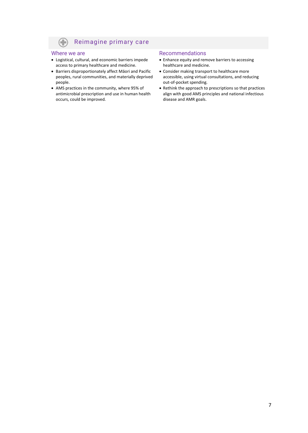#### Reimagine primary care  $\left( \color{red}\right)$

#### Where we are

- Logistical, cultural, and economic barriers impede access to primary healthcare and medicine.
- Barriers disproportionately affect Māori and Pacific peoples, rural communities, and materially deprived people.
- AMS practices in the community, where 95% of antimicrobial prescription and use in human health occurs, could be improved.

#### Recommendations

- Enhance equity and remove barriers to accessing healthcare and medicine.
- Consider making transport to healthcare more accessible, using virtual consultations, and reducing out-of-pocket spending.
- Rethink the approach to prescriptions so that practices align with good AMS principles and national infectious disease and AMR goals.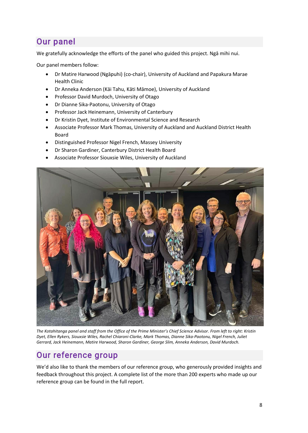# Our panel

We gratefully acknowledge the efforts of the panel who guided this project. Ngā mihi nui.

Our panel members follow:

- Dr Matire Harwood (Ngāpuhi) (co-chair), University of Auckland and Papakura Marae Health Clinic
- Dr Anneka Anderson (Kāi Tahu, Kāti Māmoe), University of Auckland
- Professor David Murdoch, University of Otago
- Dr Dianne Sika-Paotonu, University of Otago
- Professor Jack Heinemann, University of Canterbury
- Dr Kristin Dyet, Institute of Environmental Science and Research
- Associate Professor Mark Thomas, University of Auckland and Auckland District Health Board
- Distinguished Professor Nigel French, Massey University
- Dr Sharon Gardiner, Canterbury District Health Board
- Associate Professor Siouxsie Wiles, University of Auckland



*The Kotahitanga panel and staff from the Office of the Prime Minister's Chief Science Advisor. From left to right: Kristin Dyet, Ellen Rykers, Siouxsie Wiles, Rachel Chiaroni-Clarke, Mark Thomas, Dianne Sika-Paotonu, Nigel French, Juliet Gerrard, Jack Heinemann, Matire Harwood, Sharon Gardiner, George Slim, Anneka Anderson, David Murdoch.*

# Our reference group

We'd also like to thank the members of our reference group, who generously provided insights and feedback throughout this project. A complete list of the more than 200 experts who made up our reference group can be found in the full report.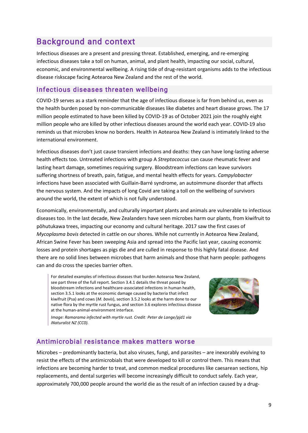# Background and context

Infectious diseases are a present and pressing threat. Established, emerging, and re-emerging infectious diseases take a toll on human, animal, and plant health, impacting our social, cultural, economic, and environmental wellbeing. A rising tide of drug-resistant organisms adds to the infectious disease riskscape facing Aotearoa New Zealand and the rest of the world.

### Infectious diseases threaten wellbeing

COVID-19 serves as a stark reminder that the age of infectious disease is far from behind us, even as the health burden posed by non-communicable diseases like diabetes and heart disease grows. The 17 million people estimated to have been killed by COVID-19 as of October 2021 join the roughly eight million people who are killed by other infectious diseases around the world each year. COVID-19 also reminds us that microbes know no borders. Health in Aotearoa New Zealand is intimately linked to the international environment.

Infectious diseases don't just cause transient infections and deaths: they can have long-lasting adverse health effects too. Untreated infections with group A *Streptococcus* can cause rheumatic fever and lasting heart damage, sometimes requiring surgery. Bloodstream infections can leave survivors suffering shortness of breath, pain, fatigue, and mental health effects for years. *Campylobacter* infections have been associated with Guillain-Barré syndrome, an autoimmune disorder that affects the nervous system. And the impacts of long Covid are taking a toll on the wellbeing of survivors around the world, the extent of which is not fully understood.

Economically, environmentally, and culturally important plants and animals are vulnerable to infectious diseases too. In the last decade, New Zealanders have seen microbes harm our plants, from kiwifruit to pōhutukawa trees, impacting our economy and cultural heritage. 2017 saw the first cases of *Mycoplasma bovis* detected in cattle on our shores. While not currently in Aotearoa New Zealand, African Swine Fever has been sweeping Asia and spread into the Pacific last year, causing economic losses and protein shortages as pigs die and are culled in response to this highly fatal disease. And there are no solid lines between microbes that harm animals and those that harm people: pathogens can and do cross the species barrier often.

For detailed examples of infectious diseases that burden Aotearoa New Zealand, see part three of the full report. Section 3.4.1 details the threat posed by bloodstream infections and healthcare-associated infections in human health, section 3.5.1 looks at the economic damage caused by bacteria that infect kiwifruit (Psa) and cows (*M. bovis*), section 3.5.2 looks at the harm done to our native flora by the myrtle rust fungus, and section 3.6 explores infectious disease at the human-animal-environment interface.



*Image: Ramarama infected with myrtle rust. Credit: Peter de Lange/pjd1 via [iNaturalist NZ](https://inaturalist.nz/observations/21431005) (CC0).*

# Antimicrobial resistance makes matters worse

Microbes – predominantly bacteria, but also viruses, fungi, and parasites – are inexorably evolving to resist the effects of the antimicrobials that were developed to kill or control them. This means that infections are becoming harder to treat, and common medical procedures like caesarean sections, hip replacements, and dental surgeries will become increasingly difficult to conduct safely. Each year, approximately 700,000 people around the world die as the result of an infection caused by a drug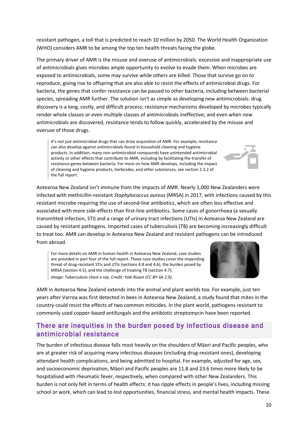resistant pathogen, a toll that is predicted to reach 10 million by 2050. The World Health Organization (WHO) considers AMR to be among the top ten health threats facing the globe.

The primary driver of AMR is the misuse and overuse of antimicrobials: excessive and inappropriate use of antimicrobials gives microbes ample opportunity to evolve to evade them. When microbes are exposed to antimicrobials, some may survive while others are killed. Those that survive go on to reproduce, giving rise to offspring that are also able to resist the effects of antimicrobial drugs. For bacteria, the genes that confer resistance can be passed to other bacteria, including between bacterial species, spreading AMR further. The solution isn't as simple as developing new antimicrobials: drug discovery is a long, costly, and difficult process; resistance mechanisms developed by microbes typically render whole classes or even multiple classes of antimicrobials ineffective; and even when new antimicrobials are discovered, resistance tends to follow quickly, accelerated by the misuse and overuse of those drugs.

It's not just antimicrobial drugs that can drive acquisition of AMR. For example, resistance can also develop against antimicrobials found in household cleaning and hygiene products. In addition, many non-antimicrobial compounds have unintended antimicrobial activity or other effects that contribute to AMR, including by facilitating the transfer of resistance genes between bacteria. For more on how AMR develops, including the impact of cleaning and hygiene products, herbicides, and other substances, see section 2.3.2 of the full report.

Aotearoa New Zealand isn't immune from the impacts of AMR. Nearly 1,000 New Zealanders were infected with methicillin-resistant *Staphylococcus aureus* (MRSA) in 2017, with infections caused by this resistant microbe requiring the use of second-line antibiotics, which are often less effective and associated with more side-effects than first-line antibiotics. Some cases of gonorrhoea (a sexually transmitted infection, STI) and a range of urinary tract infections (UTIs) in Aotearoa New Zealand are caused by resistant pathogens. Imported cases of tuberculosis (TB) are becoming increasingly difficult to treat too. AMR can develop in Aotearoa New Zealand and resistant pathogens can be introduced from abroad.

For more details on AMR in human health in Aotearoa New Zealand, case studies are provided in part four of the full report. These case studies cover the impending threat of drug-resistant STIs and UTIs (sections 4.8 and 4.6), the burden posed by MRSA (section 4.5), and the challenge of treating TB (section 4.7). *Image: Tuberculosis chest x-ray. Credit[: Yale Rosen](https://www.flickr.com/photos/pulmonary_pathology/7471756830/in/photolist-cofGZC-b1LYF8-b1LYcx-b1LY3T-aYqZvk-aYqYxP-aYqYTv-aYqZiM-aYqYJn-aYqZ48-9dnKVr-mus9Pr-aYnJVT-b1LYNV-aYnHsc-b1LYxp-aYnH38-aYnHQT-b1LYmt-aYnJ6R-2kcS5Sz-2kcS5BQ-aYnMoP-b3Sh12-9dkhBT-9dk7M4-9doePf-aYnMv8-aYnNdv-aYnMK4-aYnN3Z-aYnKS8-mozuj2-muqxgz-28JDcbn-7rEFcP-aYnK9M-aYnK48-2kcNfot-aYnJqK-aYkXJT-HSJjCj-aZH1XH-aZH1WD-aYnM7i-aYnMhx-aYnLhV-aYnLKD-aYnLwT-piGUyN/) [\(CC BY-SA 2.0\)](https://creativecommons.org/licenses/by-sa/2.0/).*

AMR in Aotearoa New Zealand extends into the animal and plant worlds too. For example, just ten years after Varroa was first detected in bees in Aotearoa New Zealand, a study found that mites in the country could resist the effects of two common miticides. In the plant world, pathogens resistant to commonly used copper-based antifungals and the antibiotic streptomycin have been reported.

# There are inequities in the burden posed by infectious disease and antimicrobial resistance

The burden of infectious disease falls most heavily on the shoulders of Māori and Pacific peoples, who are at greater risk of acquiring many infectious diseases (including drug-resistant ones), developing attendant health complications, and being admitted to hospital. For example, adjusted for age, sex, and socioeconomic deprivation, Māori and Pacific peoples are 11.8 and 23.6 times more likely to be hospitalised with rheumatic fever, respectively, when compared with other New Zealanders. This burden is not only felt in terms of health effects: it has ripple effects in people's lives, including missing school or work, which can lead to lost opportunities, financial stress, and mental health impacts. These



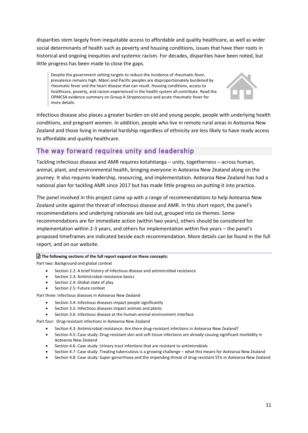disparities stem largely from inequitable access to affordable and quality healthcare, as well as wider social determinants of health such as poverty and housing conditions, issues that have their roots in historical and ongoing inequities and systemic racism. For decades, disparities have been noted, but little progress has been made to close the gaps.

Despite the government setting targets to reduce the incidence of rheumatic fever, prevalence remains high. Māori and Pacific peoples are disproportionately burdened by rheumatic fever and the heart disease that can result. Housing conditions, access to healthcare, poverty, and racism experienced in the health system all contribute. Read the OPMCSA evidence summary on Group A *Streptococcus* and acute rheumatic fever for more details.



Infectious disease also places a greater burden on old and young people, people with underlying health conditions, and pregnant women. In addition, people who live in remote rural areas in Aotearoa New Zealand and those living in material hardship regardless of ethnicity are less likely to have ready access to affordable and quality healthcare.

# The way forward requires unity and leadership

Tackling infectious disease and AMR requires kotahitanga – unity, togetherness – across human, animal, plant, and environmental health, bringing everyone in Aotearoa New Zealand along on the journey. It also requires leadership, resourcing, and implementation. Aotearoa New Zealand has had a national plan for tackling AMR since 2017 but has made little progress on putting it into practice.

The panel involved in this project came up with a range of recommendations to help Aotearoa New Zealand unite against the threat of infectious disease and AMR. In this short report, the panel's recommendations and underlying rationale are laid out, grouped into six themes. Some recommendations are for immediate action (within two years), others should be considered for implementation within 2-3 years, and others for implementation within five years – the panel's proposed timeframes are indicated beside each recommendation. More details can be found in the full report, and on our website.

#### **The following sections of the full report expand on these concepts:**

Part two: Background and global context

- Section 2.2: A brief history of infectious disease and antimicrobial resistance
- Section 2.3: Antimicrobial resistance basics
- Section 2.4: Global state of play
- Section 2.5: Future context

Part three: Infectious diseases in Aotearoa New Zealand

- Section 3.4: Infectious diseases impact people significantly
- Section 3.5: Infectious diseases impact animals and plants
- Section 3.6: Infectious disease at the human-animal-environment interface

Part four: Drug-resistant infections in Aotearoa New Zealand

- Section 4.3: Antimicrobial resistance: Are there drug-resistant infections in Aotearoa New Zealand?
- Section 4.5: Case study: Drug-resistant skin and soft tissue infections are already causing significant morbidity in Aotearoa New Zealand
- Section 4.6: Case study: Urinary tract infections that are resistant to antimicrobials
- Section 4.7: Case study: Treating tuberculosis is a growing challenge what this means for Aotearoa New Zealand
- Section 4.8: Case study: Super-gonorrhoea and the impending threat of drug-resistant STIs in Aotearoa New Zealand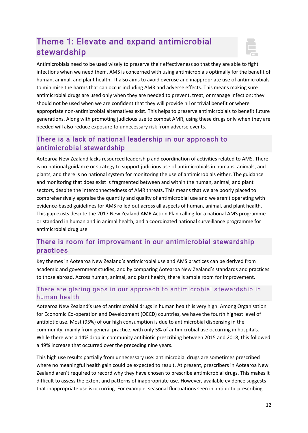# Theme 1: Elevate and expand antimicrobial stewardship



Antimicrobials need to be used wisely to preserve their effectiveness so that they are able to fight infections when we need them. AMS is concerned with using antimicrobials optimally for the benefit of human, animal, and plant health. It also aims to avoid overuse and inappropriate use of antimicrobials to minimise the harms that can occur including AMR and adverse effects. This means making sure antimicrobial drugs are used only when they are needed to prevent, treat, or manage infection: they should not be used when we are confident that they will provide nil or trivial benefit or where appropriate non-antimicrobial alternatives exist. This helps to preserve antimicrobials to benefit future generations. Along with promoting judicious use to combat AMR, using these drugs only when they are needed will also reduce exposure to unnecessary risk from adverse events.

# There is a lack of national leadership in our approach to antimicrobial stewardship

Aotearoa New Zealand lacks resourced leadership and coordination of activities related to AMS. There is no national guidance or strategy to support judicious use of antimicrobials in humans, animals, and plants, and there is no national system for monitoring the use of antimicrobials either. The guidance and monitoring that does exist is fragmented between and within the human, animal, and plant sectors, despite the interconnectedness of AMR threats. This means that we are poorly placed to comprehensively appraise the quantity and quality of antimicrobial use and we aren't operating with evidence-based guidelines for AMS rolled out across all aspects of human, animal, and plant health. This gap exists despite the 2017 New Zealand AMR Action Plan calling for a national AMS programme or standard in human and in animal health, and a coordinated national surveillance programme for antimicrobial drug use.

# There is room for improvement in our antimicrobial stewardship practices

Key themes in Aotearoa New Zealand's antimicrobial use and AMS practices can be derived from academic and government studies, and by comparing Aotearoa New Zealand's standards and practices to those abroad. Across human, animal, and plant health, there is ample room for improvement.

### There are glaring gaps in our approach to antimicrobial s tewardship in human health

Aotearoa New Zealand's use of antimicrobial drugs in human health is very high. Among Organisation for Economic Co-operation and Development (OECD) countries, we have the fourth highest level of antibiotic use. Most (95%) of our high consumption is due to antimicrobial dispensing in the community, mainly from general practice, with only 5% of antimicrobial use occurring in hospitals. While there was a 14% drop in community antibiotic prescribing between 2015 and 2018, this followed a 49% increase that occurred over the preceding nine years.

This high use results partially from unnecessary use: antimicrobial drugs are sometimes prescribed where no meaningful health gain could be expected to result. At present, prescribers in Aotearoa New Zealand aren't required to record why they have chosen to prescribe antimicrobial drugs. This makes it difficult to assess the extent and patterns of inappropriate use. However, available evidence suggests that inappropriate use is occurring. For example, seasonal fluctuations seen in antibiotic prescribing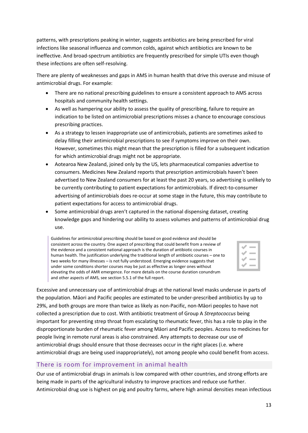patterns, with prescriptions peaking in winter, suggests antibiotics are being prescribed for viral infections like seasonal influenza and common colds, against which antibiotics are known to be ineffective. And broad-spectrum antibiotics are frequently prescribed for simple UTIs even though these infections are often self-resolving.

There are plenty of weaknesses and gaps in AMS in human health that drive this overuse and misuse of antimicrobial drugs. For example:

- There are no national prescribing guidelines to ensure a consistent approach to AMS across hospitals and community health settings.
- As well as hampering our ability to assess the quality of prescribing, failure to require an indication to be listed on antimicrobial prescriptions misses a chance to encourage conscious prescribing practices.
- As a strategy to lessen inappropriate use of antimicrobials, patients are sometimes asked to delay filling their antimicrobial prescriptions to see if symptoms improve on their own. However, sometimes this might mean that the prescription is filled for a subsequent indication for which antimicrobial drugs might not be appropriate.
- Aotearoa New Zealand, joined only by the US, lets pharmaceutical companies advertise to consumers. Medicines New Zealand reports that prescription antimicrobials haven't been advertised to New Zealand consumers for at least the past 20 years, so advertising is unlikely to be currently contributing to patient expectations for antimicrobials. If direct-to-consumer advertising of antimicrobials does re-occur at some stage in the future, this may contribute to patient expectations for access to antimicrobial drugs.
- Some antimicrobial drugs aren't captured in the national dispensing dataset, creating knowledge gaps and hindering our ability to assess volumes and patterns of antimicrobial drug use.

Guidelines for antimicrobial prescribing should be based on good evidence and should be consistent across the country. One aspect of prescribing that could benefit from a review of the evidence and a consistent national approach is the duration of antibiotic courses in human health. The justification underlying the traditional length of antibiotic courses – one to two weeks for many illnesses – is not fully understood. Emerging evidence suggests that under some conditions shorter courses may be just as effective as longer ones without elevating the odds of AMR emergence. For more details on the course duration conundrum and other aspects of AMS, see section 5.5.1 of the full report.

Excessive and unnecessary use of antimicrobial drugs at the national level masks underuse in parts of the population. Māori and Pacific peoples are estimated to be under-prescribed antibiotics by up to 29%, and both groups are more than twice as likely as non-Pacific, non-Māori peoples to have not collected a prescription due to cost. With antibiotic treatment of Group A *Streptococcus* being important for preventing strep throat from escalating to rheumatic fever, this has a role to play in the disproportionate burden of rheumatic fever among Māori and Pacific peoples. Access to medicines for people living in remote rural areas is also constrained. Any attempts to decrease our use of antimicrobial drugs should ensure that those decreases occur in the right places (i.e. where antimicrobial drugs are being used inappropriately), not among people who could benefit from access.

# There is room for improvement in animal health

Our use of antimicrobial drugs in animals is low compared with other countries, and strong efforts are being made in parts of the agricultural industry to improve practices and reduce use further. Antimicrobial drug use is highest on pig and poultry farms, where high animal densities mean infectious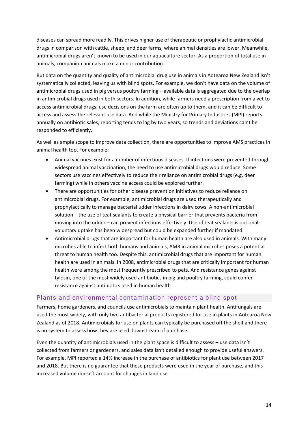diseases can spread more readily. This drives higher use of therapeutic or prophylactic antimicrobial drugs in comparison with cattle, sheep, and deer farms, where animal densities are lower. Meanwhile, antimicrobial drugs aren't known to be used in our aquaculture sector. As a proportion of total use in animals, companion animals make a minor contribution.

But data on the quantity and quality of antimicrobial drug use in animals in Aotearoa New Zealand isn't systematically collected, leaving us with blind spots. For example, we don't have data on the volume of antimicrobial drugs used in pig versus poultry farming – available data is aggregated due to the overlap in antimicrobial drugs used in both sectors. In addition, while farmers need a prescription from a vet to access antimicrobial drugs, use decisions on the farm are often up to them, and it can be difficult to access and assess the relevant use data. And while the Ministry for Primary Industries (MPI) reports annually on antibiotic sales, reporting tends to lag by two years, so trends and deviations can't be responded to efficiently.

As well as ample scope to improve data collection, there are opportunities to improve AMS practices in animal health too. For example:

- Animal vaccines exist for a number of infectious diseases. If infections were prevented through widespread animal vaccination, the need to use antimicrobial drugs would reduce. Some sectors use vaccines effectively to reduce their reliance on antimicrobial drugs (e.g. deer farming) while in others vaccine access could be explored further.
- There are opportunities for other disease prevention initiatives to reduce reliance on antimicrobial drugs. For example, antimicrobial drugs are used therapeutically and prophylactically to manage bacterial udder infections in dairy cows. A non-antimicrobial solution – the use of teat sealants to create a physical barrier that prevents bacteria from moving into the udder – can prevent infections effectively. Use of teat sealants is optional: voluntary uptake has been widespread but could be expanded further if mandated.
- Antimicrobial drugs that are important for human health are also used in animals. With many microbes able to infect both humans and animals, AMR in animal microbes poses a potential threat to human health too. Despite this, antimicrobial drugs that are important for human health are used in animals. In 2008, antimicrobial drugs that are critically important for human health were among the most frequently prescribed to pets. And resistance genes against tylosin, one of the most widely used antibiotics in pig and poultry farming, could confer resistance against antibiotics used in human health.

#### Plants and environmental contamination represent a blind spot

Farmers, home gardeners, and councils use antimicrobials to maintain plant health. Antifungals are used the most widely, with only two antibacterial products registered for use in plants in Aotearoa New Zealand as of 2018. Antimicrobials for use on plants can typically be purchased off the shelf and there is no system to assess how they are used downstream of purchase.

Even the quantity of antimicrobials used in the plant space is difficult to assess – use data isn't collected from farmers or gardeners, and sales data isn't detailed enough to provide useful answers. For example, MPI reported a 14% increase in the purchase of antibiotics for plant use between 2017 and 2018. But there is no guarantee that these products were used in the year of purchase, and this increased volume doesn't account for changes in land use.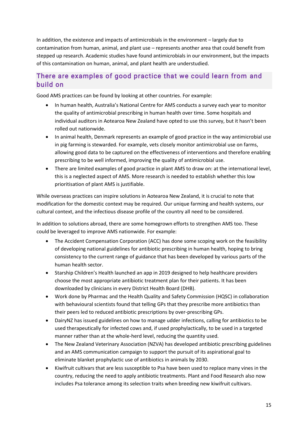In addition, the existence and impacts of antimicrobials in the environment – largely due to contamination from human, animal, and plant use – represents another area that could benefit from stepped up research. Academic studies have found antimicrobials in our environment, but the impacts of this contamination on human, animal, and plant health are understudied.

# There are examples of good practice that we could learn from and build on

Good AMS practices can be found by looking at other countries. For example:

- In human health, Australia's National Centre for AMS conducts a survey each year to monitor the quality of antimicrobial prescribing in human health over time. Some hospitals and individual auditors in Aotearoa New Zealand have opted to use this survey, but it hasn't been rolled out nationwide.
- In animal health, Denmark represents an example of good practice in the way antimicrobial use in pig farming is stewarded. For example, vets closely monitor antimicrobial use on farms, allowing good data to be captured on the effectiveness of interventions and therefore enabling prescribing to be well informed, improving the quality of antimicrobial use.
- There are limited examples of good practice in plant AMS to draw on: at the international level, this is a neglected aspect of AMS. More research is needed to establish whether this low prioritisation of plant AMS is justifiable.

While overseas practices can inspire solutions in Aotearoa New Zealand, it is crucial to note that modification for the domestic context may be required. Our unique farming and health systems, our cultural context, and the infectious disease profile of the country all need to be considered.

In addition to solutions abroad, there are some homegrown efforts to strengthen AMS too. These could be leveraged to improve AMS nationwide. For example:

- The Accident Compensation Corporation (ACC) has done some scoping work on the feasibility of developing national guidelines for antibiotic prescribing in human health, hoping to bring consistency to the current range of guidance that has been developed by various parts of the human health sector.
- Starship Children's Health launched an app in 2019 designed to help healthcare providers choose the most appropriate antibiotic treatment plan for their patients. It has been downloaded by clinicians in every District Health Board (DHB).
- Work done by Pharmac and the Health Quality and Safety Commission (HQSC) in collaboration with behavioural scientists found that telling GPs that they prescribe more antibiotics than their peers led to reduced antibiotic prescriptions by over-prescribing GPs.
- DairyNZ has issued guidelines on how to manage udder infections, calling for antibiotics to be used therapeutically for infected cows and, if used prophylactically, to be used in a targeted manner rather than at the whole-herd level, reducing the quantity used.
- The New Zealand Veterinary Association (NZVA) has developed antibiotic prescribing guidelines and an AMS communication campaign to support the pursuit of its aspirational goal to eliminate blanket prophylactic use of antibiotics in animals by 2030.
- Kiwifruit cultivars that are less susceptible to Psa have been used to replace many vines in the country, reducing the need to apply antibiotic treatments. Plant and Food Research also now includes Psa tolerance among its selection traits when breeding new kiwifruit cultivars.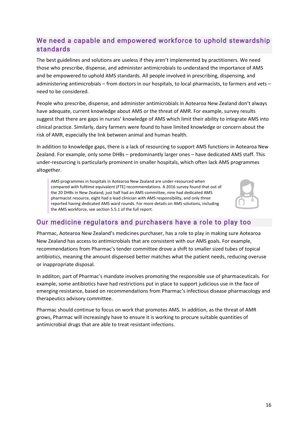# We need a capable and empowered workforce to uphold stewardship standards

The best guidelines and solutions are useless if they aren't implemented by practitioners. We need those who prescribe, dispense, and administer antimicrobials to understand the importance of AMS and be empowered to uphold AMS standards. All people involved in prescribing, dispensing, and administering antimicrobials – from doctors in our hospitals, to local pharmacists, to farmers and vets – need to be considered.

People who prescribe, dispense, and administer antimicrobials in Aotearoa New Zealand don't always have adequate, current knowledge about AMS or the threat of AMR. For example, survey results suggest that there are gaps in nurses' knowledge of AMS which limit their ability to integrate AMS into clinical practice. Similarly, dairy farmers were found to have limited knowledge or concern about the risk of AMR, especially the link between animal and human health.

In addition to knowledge gaps, there is a lack of resourcing to support AMS functions in Aotearoa New Zealand. For example, only some DHBs – predominantly larger ones – have dedicated AMS staff. This under-resourcing is particularly prominent in smaller hospitals, which often lack AMS programmes altogether.

AMS programmes in hospitals in Aotearoa New Zealand are under-resourced when compared with fulltime equivalent (FTE) recommendations. A 2016 survey found that out of the 20 DHBs in New Zealand, just half had an AMS committee, nine had dedicated AMS pharmacist resource, eight had a lead clinician with AMS responsibility, and only three reported having dedicated AMS ward rounds. For more details on AMS solutions, including the AMS workforce, see section 5.5.1 of the full report.



# Our medicine regulators and purchasers have a role to play too

Pharmac, Aotearoa New Zealand's medicines purchaser, has a role to play in making sure Aotearoa New Zealand has access to antimicrobials that are consistent with our AMS goals. For example, recommendations from Pharmac's tender committee drove a shift to smaller sized tubes of topical antibiotics, meaning the amount dispensed better matches what the patient needs, reducing overuse or inappropriate disposal.

In additon, part of Pharmac's mandate involves promoting the responsible use of pharmaceuticals. For example, some antibiotics have had restrictions put in place to support judicious use in the face of emerging resistance, based on recommendations from Pharmac's infectious disease pharmacology and therapeutics advisory committee.

Pharmac should continue to focus on work that promotes AMS. In addition, as the threat of AMR grows, Pharmac will increasingly have to ensure it is working to procure suitable quantities of antimicrobial drugs that are able to treat resistant infections.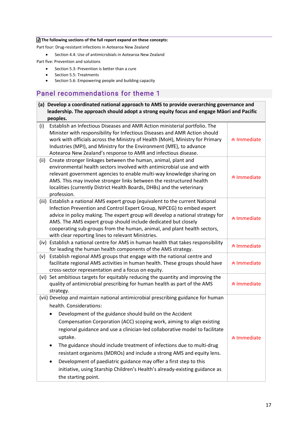#### **The following sections of the full report expand on these concepts:**

Part four: Drug-resistant infections in Aotearoa New Zealand

• Section 4.4: Use of antimicrobials in Aotearoa New Zealand

Part five: Prevention and solutions

- Section 5.3: Prevention is better than a cure<br>• Section 5.5: Treatments
- Section 5.5: Treatments
- Section 5.6: Empowering people and building capacity

# Panel recommendations for theme 1

| (a) Develop a coordinated national approach to AMS to provide overarching governance and<br>leadership. The approach should adopt a strong equity focus and engage Māori and Pacific<br>peoples.                                                                                                                                                                                                                                                                                                                                                                                                                                                                        |                               |
|-------------------------------------------------------------------------------------------------------------------------------------------------------------------------------------------------------------------------------------------------------------------------------------------------------------------------------------------------------------------------------------------------------------------------------------------------------------------------------------------------------------------------------------------------------------------------------------------------------------------------------------------------------------------------|-------------------------------|
| Establish an Infectious Diseases and AMR Action ministerial portfolio. The<br>(i)<br>Minister with responsibility for Infectious Diseases and AMR Action should<br>work with officials across the Ministry of Health (MoH), Ministry for Primary<br>Industries (MPI), and Ministry for the Environment (MfE), to advance<br>Aotearoa New Zealand's response to AMR and infectious disease.                                                                                                                                                                                                                                                                              | <b>☆ Immediate</b>            |
| Create stronger linkages between the human, animal, plant and<br>(ii)<br>environmental health sectors involved with antimicrobial use and with<br>relevant government agencies to enable multi-way knowledge sharing on<br>AMS. This may involve stronger links between the restructured health<br>localities (currently District Health Boards, DHBs) and the veterinary<br>profession.                                                                                                                                                                                                                                                                                | <b>☆ Immediate</b>            |
| (iii) Establish a national AMS expert group (equivalent to the current National<br>Infection Prevention and Control Expert Group, NIPCEG) to embed expert<br>advice in policy making. The expert group will develop a national strategy for<br>AMS. The AMS expert group should include dedicated but closely<br>cooperating sub-groups from the human, animal, and plant health sectors,<br>with clear reporting lines to relevant Ministries.                                                                                                                                                                                                                         | <b><sup>★</sup> Immediate</b> |
| (iv) Establish a national centre for AMS in human health that takes responsibility<br>for leading the human health components of the AMS strategy.                                                                                                                                                                                                                                                                                                                                                                                                                                                                                                                      | <b>☆ Immediate</b>            |
| Establish regional AMS groups that engage with the national centre and<br>(v)<br>facilitate regional AMS activities in human health. These groups should have<br>cross-sector representation and a focus on equity.                                                                                                                                                                                                                                                                                                                                                                                                                                                     | <b><sup>★</sup> Immediate</b> |
| (vi) Set ambitious targets for equitably reducing the quantity and improving the<br>quality of antimicrobial prescribing for human health as part of the AMS<br>strategy.                                                                                                                                                                                                                                                                                                                                                                                                                                                                                               | <b><sup>★</sup> Immediate</b> |
| (vii) Develop and maintain national antimicrobial prescribing guidance for human<br>health. Considerations:<br>Development of the guidance should build on the Accident<br>Compensation Corporation (ACC) scoping work, aiming to align existing<br>regional guidance and use a clinician-led collaborative model to facilitate<br>uptake.<br>The guidance should include treatment of infections due to multi-drug<br>resistant organisms (MDROs) and include a strong AMS and equity lens.<br>Development of paediatric guidance may offer a first step to this<br>initiative, using Starship Children's Health's already-existing guidance as<br>the starting point. | <b><sup>☆</sup> Immediate</b> |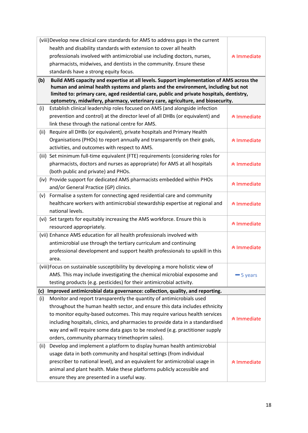|       | (viii) Develop new clinical care standards for AMS to address gaps in the current         |                               |
|-------|-------------------------------------------------------------------------------------------|-------------------------------|
|       | health and disability standards with extension to cover all health                        |                               |
|       | professionals involved with antimicrobial use including doctors, nurses,                  | <b>★ Immediate</b>            |
|       | pharmacists, midwives, and dentists in the community. Ensure these                        |                               |
|       | standards have a strong equity focus.                                                     |                               |
| (b)   | Build AMS capacity and expertise at all levels. Support implementation of AMS across the  |                               |
|       | human and animal health systems and plants and the environment, including but not         |                               |
|       | limited to: primary care, aged residential care, public and private hospitals, dentistry, |                               |
|       | optometry, midwifery, pharmacy, veterinary care, agriculture, and biosecurity.            |                               |
| (i)   | Establish clinical leadership roles focused on AMS (and alongside infection               |                               |
|       | prevention and control) at the director level of all DHBs (or equivalent) and             | <b>☆ Immediate</b>            |
|       | link these through the national centre for AMS.                                           |                               |
| (ii)  | Require all DHBs (or equivalent), private hospitals and Primary Health                    |                               |
|       | Organisations (PHOs) to report annually and transparently on their goals,                 | <b>☆ Immediate</b>            |
|       | activities, and outcomes with respect to AMS.                                             |                               |
| (iii) | Set minimum full-time equivalent (FTE) requirements (considering roles for                |                               |
|       | pharmacists, doctors and nurses as appropriate) for AMS at all hospitals                  | <b><sup>★</sup> Immediate</b> |
|       | (both public and private) and PHOs.                                                       |                               |
|       | (iv) Provide support for dedicated AMS pharmacists embedded within PHOs                   | <b>☆ Immediate</b>            |
|       | and/or General Practice (GP) clinics.                                                     |                               |
| (v)   | Formalise a system for connecting aged residential care and community                     |                               |
|       | healthcare workers with antimicrobial stewardship expertise at regional and               | <b><sup>★</sup> Immediate</b> |
|       | national levels.                                                                          |                               |
|       | (vi) Set targets for equitably increasing the AMS workforce. Ensure this is               | <b>☆ Immediate</b>            |
|       | resourced appropriately.                                                                  |                               |
|       | (vii) Enhance AMS education for all health professionals involved with                    |                               |
|       | antimicrobial use through the tertiary curriculum and continuing                          | <b>☆ Immediate</b>            |
|       | professional development and support health professionals to upskill in this              |                               |
|       | area.                                                                                     |                               |
|       | (viii) Focus on sustainable susceptibility by developing a more holistic view of          |                               |
|       | AMS. This may include investigating the chemical microbial exposome and                   | <b>-5</b> years               |
|       | testing products (e.g. pesticides) for their antimicrobial activity.                      |                               |
| (c)   | Improved antimicrobial data governance: collection, quality, and reporting.               |                               |
| (i)   | Monitor and report transparently the quantity of antimicrobials used                      |                               |
|       | throughout the human health sector, and ensure this data includes ethnicity               |                               |
|       | to monitor equity-based outcomes. This may require various health services                | <b><sup>☆</sup> Immediate</b> |
|       | including hospitals, clinics, and pharmacies to provide data in a standardised            |                               |
|       | way and will require some data gaps to be resolved (e.g. practitioner supply              |                               |
|       | orders, community pharmacy trimethoprim sales).                                           |                               |
| (ii)  | Develop and implement a platform to display human health antimicrobial                    |                               |
|       | usage data in both community and hospital settings (from individual                       |                               |
|       | prescriber to national level), and an equivalent for antimicrobial usage in               | <b><sup>☆</sup> Immediate</b> |
|       | animal and plant health. Make these platforms publicly accessible and                     |                               |
|       | ensure they are presented in a useful way.                                                |                               |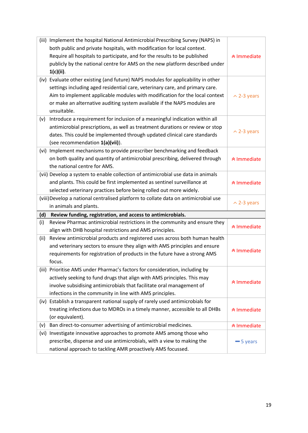| (iii) | Implement the hospital National Antimicrobial Prescribing Survey (NAPS) in                                                           |                               |
|-------|--------------------------------------------------------------------------------------------------------------------------------------|-------------------------------|
|       | both public and private hospitals, with modification for local context.                                                              |                               |
|       | Require all hospitals to participate, and for the results to be published                                                            | <b><sup>★</sup> Immediate</b> |
|       | publicly by the national centre for AMS on the new platform described under                                                          |                               |
|       | $1(c)(ii)$ .                                                                                                                         |                               |
| (iv)  | Evaluate other existing (and future) NAPS modules for applicability in other                                                         |                               |
|       | settings including aged residential care, veterinary care, and primary care.                                                         |                               |
|       | Aim to implement applicable modules with modification for the local context                                                          | $\sim$ 2-3 years              |
|       | or make an alternative auditing system available if the NAPS modules are                                                             |                               |
|       | unsuitable.                                                                                                                          |                               |
| (v)   | Introduce a requirement for inclusion of a meaningful indication within all                                                          |                               |
|       | antimicrobial prescriptions, as well as treatment durations or review or stop                                                        |                               |
|       | dates. This could be implemented through updated clinical care standards                                                             | $\sim$ 2-3 years              |
|       | (see recommendation 1(a)(vii)).                                                                                                      |                               |
|       | (vi) Implement mechanisms to provide prescriber benchmarking and feedback                                                            |                               |
|       | on both quality and quantity of antimicrobial prescribing, delivered through                                                         | <b><sup>☆</sup> Immediate</b> |
|       | the national centre for AMS.                                                                                                         |                               |
|       | (vii) Develop a system to enable collection of antimicrobial use data in animals                                                     |                               |
|       | and plants. This could be first implemented as sentinel surveillance at                                                              | <b><sup>☆</sup> Immediate</b> |
|       | selected veterinary practices before being rolled out more widely.                                                                   |                               |
|       |                                                                                                                                      |                               |
|       | (viii) Develop a national centralised platform to collate data on antimicrobial use                                                  |                               |
|       | in animals and plants.                                                                                                               | $\sim$ 2-3 years              |
| (d)   | Review funding, registration, and access to antimicrobials.                                                                          |                               |
| (i)   | Review Pharmac antimicrobial restrictions in the community and ensure they                                                           |                               |
|       | align with DHB hospital restrictions and AMS principles.                                                                             | <b>★ Immediate</b>            |
| (ii)  | Review antimicrobial products and registered uses across both human health                                                           |                               |
|       | and veterinary sectors to ensure they align with AMS principles and ensure                                                           |                               |
|       | requirements for registration of products in the future have a strong AMS                                                            | <b><sup>☆</sup> Immediate</b> |
|       | focus.                                                                                                                               |                               |
|       | (iii) Prioritise AMS under Pharmac's factors for consideration, including by                                                         |                               |
|       | actively seeking to fund drugs that align with AMS principles. This may                                                              |                               |
|       | involve subsidising antimicrobials that facilitate oral management of                                                                | <b>☆ Immediate</b>            |
|       | infections in the community in line with AMS principles.                                                                             |                               |
|       | (iv) Establish a transparent national supply of rarely used antimicrobials for                                                       |                               |
|       | treating infections due to MDROs in a timely manner, accessible to all DHBs                                                          | <b>☆ Immediate</b>            |
|       | (or equivalent).                                                                                                                     |                               |
| (v)   | Ban direct-to-consumer advertising of antimicrobial medicines.                                                                       | <b>★ Immediate</b>            |
| (vi)  | Investigate innovative approaches to promote AMS among those who                                                                     |                               |
|       | prescribe, dispense and use antimicrobials, with a view to making the<br>national approach to tackling AMR proactively AMS focussed. | $-5$ years                    |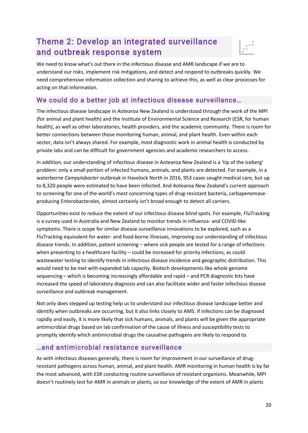# Theme 2: Develop an integrated surveillance and outbreak response system



We need to know what's out there in the infectious disease and AMR landscape if we are to understand our risks, implement risk mitigations, and detect and respond to outbreaks quickly. We need comprehensive information collection and sharing to achieve this, as well as clear processes for acting on that information.

# We could do a better job at infectious disease surveillance…

The infectious disease landscape in Aotearoa New Zealand is understood through the work of the MPI (for animal and plant health) and the Institute of Environmental Science and Research (ESR, for human health), as well as other laboratories, health providers, and the academic community. There is room for better connections between those monitoring human, animal, and plant health. Even within each sector, data isn't always shared. For example, most diagnostic work in animal health is conducted by private labs and can be difficult for government agencies and academic researchers to access.

In addition, our understanding of infectious disease in Aotearoa New Zealand is a 'tip of the iceberg' problem: only a small portion of infected humans, animals, and plants are detected. For example, in a waterborne *Campylobacter* outbreak in Havelock North in 2016, 953 cases sought medical care, but up to 8,320 people were estimated to have been infected. And Aotearoa New Zealand's current approach to screening for one of the world's most concerning types of drug-resistant bacteria, carbapenemaseproducing Enterobacterales, almost certainly isn't broad enough to detect all carriers.

Opportunities exist to reduce the extent of our infectious disease blind spots. For example, FluTracking is a survey used in Australia and New Zealand to monitor trends in influenza- and COVID-like symptoms. There is scope for similar disease surveillance innovations to be explored, such as a FluTracking equivalent for water- and food-borne illnesses, improving our understanding of infectious disease trends. In addition, patient screening – where sick people are tested for a range of infections when presenting to a healthcare facility – could be increased for priority infections, as could wastewater testing to identify trends in infectious disease incidence and geographic distribution. This would need to be met with expanded lab capacity. Biotech developments like whole genome sequencing – which is becoming increasingly affordable and rapid – and PCR diagnostic kits have increased the speed of laboratory diagnosis and can also facilitate wider and faster infectious disease surveillance and outbreak management.

Not only does stepped up testing help us to understand our infectious disease landscape better and identify when outbreaks are occurring, but it also links closely to AMS. If infections can be diagnosed rapidly and easily, it is more likely that sick humans, animals, and plants will be given the appropriate antimicrobial drugs based on lab confirmation of the cause of illness and susceptibility tests to promptly identify which antimicrobial drugs the causative pathogens are likely to respond to.

### …and antimicrobial resistance surveillance

As with infectious diseases generally, there is room for improvement in our surveillance of drugresistant pathogens across human, animal, and plant health. AMR monitoring in human health is by far the most advanced, with ESR conducting routine surveillance of resistant organisms. Meanwhile, MPI doesn't routinely test for AMR in animals or plants, so our knowledge of the extent of AMR in plants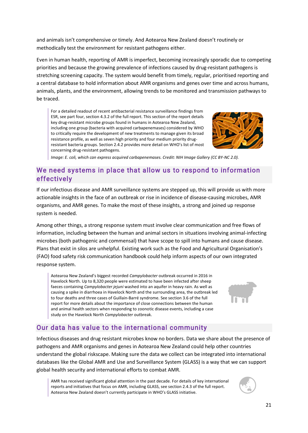and animals isn't comprehensive or timely. And Aotearoa New Zealand doesn't routinely or methodically test the environment for resistant pathogens either.

Even in human health, reporting of AMR is imperfect, becoming increasingly sporadic due to competing priorities and because the growing prevalence of infections caused by drug-resistant pathogens is stretching screening capacity. The system would benefit from timely, regular, prioritised reporting and a central database to hold information about AMR organisms and genes over time and across humans, animals, plants, and the environment, allowing trends to be monitored and transmission pathways to be traced.

For a detailed readout of recent antibacterial resistance surveillance findings from ESR, see part four, section 4.3.2 of the full report. This section of the report details key drug-resistant microbe groups found in humans in Aotearoa New Zealand, including one group (bacteria with acquired carbapenemases) considered by WHO to critically require the development of new treatments to manage given its broad resistance profile, as well as seven high priority and four medium priority drugresistant bacteria groups. Section 2.4.2 provides more detail on WHO's list of most concerning drug-resistant pathogens.



*Image: E. coli, which can express acquired carbapenemases. Credit: [NIH Image Gallery](https://www.flickr.com/photos/nihgov/24661308922/in/photolist-DzeDXq-3jZieh-j3FQJf-5mF7Qm-c9uWe5-U4kMcq-JS4G8T-yK2k1H-bbDKng-bbDPqv-5BU7mw-ae5hyu-fohHbn-2gMJ3Gh-cUNkGA-8t7vpZ-aWkEd8-9Si9Bn-d6nFV5-2jpFs22-o8ma2j-a6fcts-dT3661-bbDKPn-dYBMYW-2kP56oL-axVrLY-c57xDd-J6XXcn-p9L4w-81nGYp-eDYUz-eDYUy-9i8sTa-cUJvk5-bbDNz8-7ptXaL-2gX6GiZ-amJmvw-rJfcg-ay1xUj-Y31K2d-8bbmJt-amJjwf-cDPQ69-amFuWr-7KW31b-rJfrq-6h7GHy-4AVHip) [\(CC BY-NC 2.0\)](https://creativecommons.org/licenses/by-nc/2.0/).*

# We need systems in place that allow us to respond to information effectively

If our infectious disease and AMR surveillance systems are stepped up, this will provide us with more actionable insights in the face of an outbreak or rise in incidence of disease-causing microbes, AMR organisms, and AMR genes. To make the most of these insights, a strong and joined up response system is needed.

Among other things, a strong response system must involve clear communication and free flows of information, including between the human and animal sectors in situations involving animal-infecting microbes (both pathogenic and commensal) that have scope to spill into humans and cause disease. Plans that exist in silos are unhelpful. Existing work such as the Food and Agricultural Organisation's (FAO) food safety risk communication handbook could help inform aspects of our own integrated response system.

Aotearoa New Zealand's biggest recorded *Campylobacter* outbreak occurred in 2016 in Havelock North. Up to 8,320 people were estimated to have been infected after sheep faeces containing *Campylobacter jejuni* washed into an aquifer in heavy rain. As well as causing a spike in diarrhoea in Havelock North and the surrounding area, the outbreak led to four deaths and three cases of Guillain-Barré syndrome. See section 3.6 of the full report for more details about the importance of close connections between the human and animal health sectors when responding to zoonotic disease events, including a case study on the Havelock North *Campylobacter* outbreak.



# Our data has value to the international community

Infectious diseases and drug resistant microbes know no borders. Data we share about the presence of pathogens and AMR organisms and genes in Aotearoa New Zealand could help other countries understand the global riskscape. Making sure the data we collect can be integrated into international databases like the Global AMR and Use and Surveillance System (GLASS) is a way that we can support global health security and international efforts to combat AMR.

AMR has received significant global attention in the past decade. For details of key international reports and initiatives that focus on AMR, including GLASS, see section 2.4.3 of the full report. Aotearoa New Zealand doesn't currently participate in WHO's GLASS initiative.

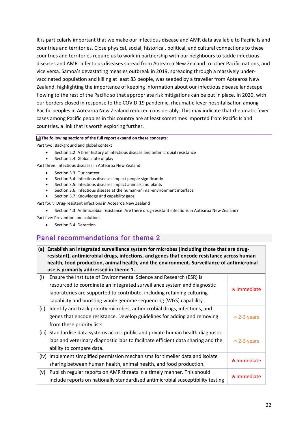It is particularly important that we make our infectious disease and AMR data available to Pacific Island countries and territories. Close physical, social, historical, political, and cultural connections to these countries and territories require us to work in partnership with our neighbours to tackle infectious diseases and AMR. Infectious diseases spread from Aotearoa New Zealand to other Pacific nations, and vice versa. Samoa's devastating measles outbreak in 2019, spreading through a massively undervaccinated population and killing at least 83 people, was seeded by a traveller from Aotearoa New Zealand, highlighting the importance of keeping information about our infectious disease landscape flowing to the rest of the Pacific so that appropriate risk mitigations can be put in place. In 2020, with our borders closed in response to the COVID-19 pandemic, rheumatic fever hospitalisation among Pacific peoples in Aotearoa New Zealand reduced considerably. This may indicate that rheumatic fever cases among Pacific peoples in this country are at least sometimes imported from Pacific Island countries, a link that is worth exploring further.

#### **The following sections of the full report expand on these concepts:**

Part two: Background and global context

- Section 2.2: A brief history of infectious disease and antimicrobial resistance
- Section 2.4: Global state of play

Part three: Infectious diseases in Aotearoa New Zealand

- Section 3.3: Our context
- Section 3.4: Infectious diseases impact people significantly
- Section 3.5: Infectious diseases impact animals and plants
- Section 3.6: Infectious disease at the human-animal-environment interface
- Section 3.7: Knowledge and capability gaps

Part four: Drug-resistant infections in Aotearoa New Zealand

• Section 4.3: Antimicrobial resistance: Are there drug-resistant infections in Aotearoa New Zealand?

Part five: Prevention and solutions

Section 5.4: Detection

# Panel recommendations for theme 2

**(a) Establish an integrated surveillance system for microbes (including those that are drugresistant), antimicrobial drugs, infections, and genes that encode resistance across human health, food production, animal health, and the environment. Surveillance of antimicrobial use is primarily addressed in theme 1.**

| (i)  | Ensure the Institute of Environmental Science and Research (ESR) is<br>resourced to coordinate an integrated surveillance system and diagnostic<br>laboratories are supported to contribute, including retaining culturing<br>capability and boosting whole genome sequencing (WGS) capability. | <b>∧</b> Immediate |
|------|-------------------------------------------------------------------------------------------------------------------------------------------------------------------------------------------------------------------------------------------------------------------------------------------------|--------------------|
| (ii) | Identify and track priority microbes, antimicrobial drugs, infections, and                                                                                                                                                                                                                      |                    |
|      | genes that encode resistance. Develop guidelines for adding and removing                                                                                                                                                                                                                        | $\sim$ 2-3 years   |
|      | from these priority lists.                                                                                                                                                                                                                                                                      |                    |
|      | (iii) Standardise data systems across public and private human health diagnostic                                                                                                                                                                                                                |                    |
|      | labs and veterinary diagnostic labs to facilitate efficient data sharing and the                                                                                                                                                                                                                | $\sim$ 2-3 years   |
|      | ability to compare data.                                                                                                                                                                                                                                                                        |                    |
| (iv) | Implement simplified permission mechanisms for timelier data and isolate                                                                                                                                                                                                                        |                    |
|      | sharing between human health, animal health, and food production.                                                                                                                                                                                                                               | <b>★ Immediate</b> |
| (v)  | Publish regular reports on AMR threats in a timely manner. This should                                                                                                                                                                                                                          |                    |
|      | include reports on nationally standardised antimicrobial susceptibility testing                                                                                                                                                                                                                 | <b>☆ Immediate</b> |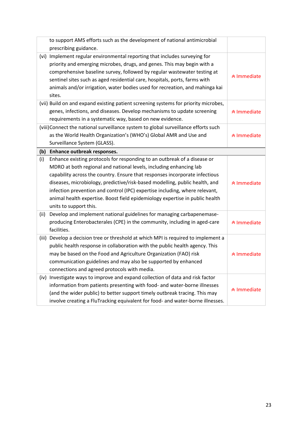|      | to support AMS efforts such as the development of national antimicrobial            |                               |
|------|-------------------------------------------------------------------------------------|-------------------------------|
|      | prescribing guidance.                                                               |                               |
|      | (vi) Implement regular environmental reporting that includes surveying for          |                               |
|      | priority and emerging microbes, drugs, and genes. This may begin with a             |                               |
|      | comprehensive baseline survey, followed by regular wastewater testing at            | <b><sup>☆</sup> Immediate</b> |
|      | sentinel sites such as aged residential care, hospitals, ports, farms with          |                               |
|      | animals and/or irrigation, water bodies used for recreation, and mahinga kai        |                               |
|      | sites.                                                                              |                               |
|      | (vii) Build on and expand existing patient screening systems for priority microbes, |                               |
|      | genes, infections, and diseases. Develop mechanisms to update screening             | <b>★ Immediate</b>            |
|      | requirements in a systematic way, based on new evidence.                            |                               |
|      | (viii) Connect the national surveillance system to global surveillance efforts such |                               |
|      | as the World Health Organization's (WHO's) Global AMR and Use and                   | <b>☆ Immediate</b>            |
|      | Surveillance System (GLASS).                                                        |                               |
| (b)  | Enhance outbreak responses.                                                         |                               |
| (i)  | Enhance existing protocols for responding to an outbreak of a disease or            |                               |
|      | MDRO at both regional and national levels, including enhancing lab                  |                               |
|      | capability across the country. Ensure that responses incorporate infectious         |                               |
|      |                                                                                     |                               |
|      | diseases, microbiology, predictive/risk-based modelling, public health, and         | <b>☆ Immediate</b>            |
|      | infection prevention and control (IPC) expertise including, where relevant,         |                               |
|      | animal health expertise. Boost field epidemiology expertise in public health        |                               |
|      | units to support this.                                                              |                               |
| (ii) | Develop and implement national guidelines for managing carbapenemase-               |                               |
|      | producing Enterobacterales (CPE) in the community, including in aged-care           | <b>☆ Immediate</b>            |
|      | facilities.                                                                         |                               |
|      | (iii) Develop a decision tree or threshold at which MPI is required to implement a  |                               |
|      | public health response in collaboration with the public health agency. This         |                               |
|      | may be based on the Food and Agriculture Organization (FAO) risk                    | <b>☆ Immediate</b>            |
|      | communication guidelines and may also be supported by enhanced                      |                               |
|      | connections and agreed protocols with media.                                        |                               |
|      | (iv) Investigate ways to improve and expand collection of data and risk factor      |                               |
|      | information from patients presenting with food- and water-borne illnesses           |                               |
|      | (and the wider public) to better support timely outbreak tracing. This may          | <b>↑ Immediate</b>            |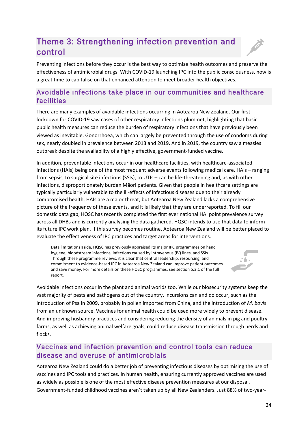# Theme 3: Strengthening infection prevention and control

Preventing infections before they occur is the best way to optimise health outcomes and preserve the effectiveness of antimicrobial drugs. With COVID-19 launching IPC into the public consciousness, now is a great time to capitalise on that enhanced attention to meet broader health objectives.

# Avoidable infections take place in our communities and healthcare facilities

There are many examples of avoidable infections occurring in Aotearoa New Zealand. Our first lockdown for COVID-19 saw cases of other respiratory infections plummet, highlighting that basic public health measures can reduce the burden of respiratory infections that have previously been viewed as inevitable. Gonorrhoea, which can largely be prevented through the use of condoms during sex, nearly doubled in prevalence between 2013 and 2019. And in 2019, the country saw a measles outbreak despite the availability of a highly effective, government-funded vaccine.

In addition, preventable infections occur in our healthcare facilities, with healthcare-associated infections (HAIs) being one of the most frequent adverse events following medical care. HAIs – ranging from sepsis, to surgical site infections (SSIs), to UTIs – can be life-threatening and, as with other infections, disproportionately burden Māori patients. Given that people in healthcare settings are typically particularly vulnerable to the ill-effects of infectious diseases due to their already compromised health, HAIs are a major threat, but Aotearoa New Zealand lacks a comprehensive picture of the frequency of these events, and it is likely that they are underreported. To fill our domestic data gap, HQSC has recently completed the first ever national HAI point prevalence survey across all DHBs and is currently analysing the data gathered. HQSC intends to use that data to inform its future IPC work plan. If this survey becomes routine, Aotearoa New Zealand will be better placed to evaluate the effectiveness of IPC practices and target areas for interventions.

Data limitations aside, HQSC has previously appraised its major IPC programmes on hand hygiene, bloodstream infections, infections caused by intravenous (IV) lines, and SSIs. Through these programme reviews, it is clear that central leadership, resourcing, and commitment to evidence-based IPC in Aotearoa New Zealand can improve patient outcomes and save money. For more details on these HQSC programmes, see section 5.3.1 of the full report.



Avoidable infections occur in the plant and animal worlds too. While our biosecurity systems keep the vast majority of pests and pathogens out of the country, incursions can and do occur, such as the introduction of Psa in 2009, probably in pollen imported from China, and the introduction of *M. bovis* from an unknown source. Vaccines for animal health could be used more widely to prevent disease. And improving husbandry practices and considering reducing the density of animals in pig and poultry farms, as well as achieving animal welfare goals, could reduce disease transmission through herds and flocks.

# Vaccines and infection prevention and control tools can reduce disease and overuse of antimicrobials

Aotearoa New Zealand could do a better job of preventing infectious diseases by optimising the use of vaccines and IPC tools and practices. In human health, ensuring currently approved vaccines are used as widely as possible is one of the most effective disease prevention measures at our disposal. Government-funded childhood vaccines aren't taken up by all New Zealanders. Just 88% of two-year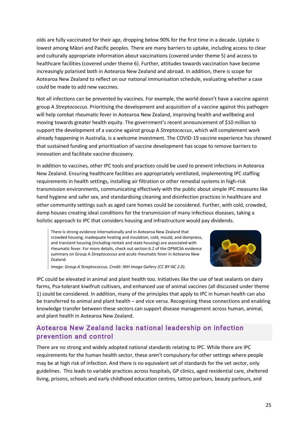olds are fully vaccinated for their age, dropping below 90% for the first time in a decade. Uptake is lowest among Māori and Pacific peoples. There are many barriers to uptake, including access to clear and culturally appropriate information about vaccinations (covered under theme 5) and access to healthcare facilities (covered under theme 6). Further, attitudes towards vaccination have become increasingly polarised both in Aotearoa New Zealand and abroad. In addition, there is scope for Aotearoa New Zealand to reflect on our national immunisation schedule, evaluating whether a case could be made to add new vaccines.

Not all infections can be prevented by vaccines. For example, the world doesn't have a vaccine against group A *Streptococcus*. Prioritising the development and acquisition of a vaccine against this pathogen will help combat rheumatic fever in Aotearoa New Zealand, improving health and wellbeing and moving towards greater health equity. The government's recent announcement of \$10 million to support the development of a vaccine against group A *Streptococcus*, which will complement work already happening in Australia, is a welcome investment. The COVID-19 vaccine experience has showed that sustained funding and prioritisation of vaccine development has scope to remove barriers to innovation and facilitate vaccine discovery.

In addition to vaccines, other IPC tools and practices could be used to prevent infections in Aotearoa New Zealand. Ensuring healthcare facilities are appropriately ventilated, implementing IPC staffing requirements in health settings, installing air filtration or other remedial systems in high-risk transmission environments, communicating effectively with the public about simple IPC measures like hand hygiene and safer sex, and standardising cleaning and disinfection practices in healthcare and other community settings such as aged care homes could be considered. Further, with cold, crowded, damp houses creating ideal conditions for the transmission of many infectious diseases, taking a holistic approach to IPC that considers housing and infrastructure would pay dividends.

There is strong evidence internationally and in Aotearoa New Zealand that crowded housing, inadequate heating and insulation, cold, mould, and dampness, and transient housing (including rentals and state housing) are associated with rheumatic fever. For more details, check out section 6.2 of the OPMCSA evidence summary on Group A *Streptococcus* and acute rheumatic fever in Aotearoa New Zealand.



*Image: Group A* Streptococcus*. Credit: [NIH Image Gallery](https://www.flickr.com/photos/nihgov/33765505481/in/photolist-JNL9jB-TDbgW4-Y31K2d-a9qpuk-a9tck9-a9qtj2-a9qsP8-9WtZWN-9Wrcnp-c57xHq-c57xQ3-9Wr9eZ-9Wu1sd-9Wu2tw-9WrcRp-by52nV-amFyC6-TrK3pB-cZn9dU-c57yjJ-amFxQg-amJr4U-amJnt1-bzrnDD-amFzwM-bka8a1-bka7uY-bnCdqn-4shAE2-nrpqJy-ng4oiF-nojjH4-nvfMXc) [\(CC BY-NC 2.0\)](https://creativecommons.org/licenses/by-nc/2.0/).*

IPC could be elevated in animal and plant health too. Initiatives like the use of teat sealants on dairy farms, Psa-tolerant kiwifruit cultivars, and enhanced use of animal vaccines (all discussed under theme 1) could be considered. In addition, many of the principles that apply to IPC in human health can also be transferred to animal and plant health – and vice versa. Recognising these connections and enabling knowledge transfer between these sectors can support disease management across human, animal, and plant health in Aotearoa New Zealand.

# Aotearoa New Zealand lacks national leadership on infection prevention and control

There are no strong and widely adopted national standards relating to IPC. While there are IPC requirements for the human health sector, these aren't compulsory for other settings where people may be at high risk of infection. And there is no equivalent set of standards for the vet sector, only guidelines. This leads to variable practices across hospitals, GP clinics, aged residential care, sheltered living, prisons, schools and early childhood education centres, tattoo parlours, beauty parlours, and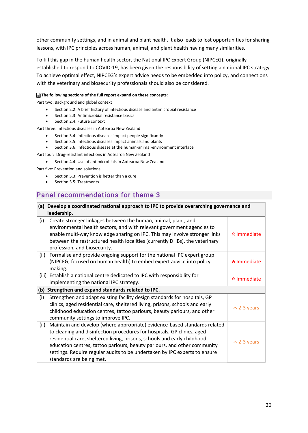other community settings, and in animal and plant health. It also leads to lost opportunities for sharing lessons, with IPC principles across human, animal, and plant health having many similarities.

To fill this gap in the human health sector, the National IPC Expert Group (NIPCEG), originally established to respond to COVID-19, has been given the responsibility of setting a national IPC strategy. To achieve optimal effect, NIPCEG's expert advice needs to be embedded into policy, and connections with the veterinary and biosecurity professionals should also be considered.

#### **The following sections of the full report expand on these concepts:**

Part two: Background and global context

- Section 2.2: A brief history of infectious disease and antimicrobial resistance
- Section 2.3: Antimicrobial resistance basics
- Section 2.4: Future context

Part three: Infectious diseases in Aotearoa New Zealand

- Section 3.4: Infectious diseases impact people significantly
- Section 3.5: Infectious diseases impact animals and plants
- Section 3.6: Infectious disease at the human-animal-environment interface

Part four: Drug-resistant infections in Aotearoa New Zealand

• Section 4.4: Use of antimicrobials in Aotearoa New Zealand

Part five: Prevention and solutions

- Section 5.3: Prevention is better than a cure
- Section 5.5: Treatments

# Panel recommendations for theme 3

| (a) Develop a coordinated national approach to IPC to provide overarching governance and<br>leadership. |                                                                                                                                                                                                                                                                                                                                                                                                                        |                    |
|---------------------------------------------------------------------------------------------------------|------------------------------------------------------------------------------------------------------------------------------------------------------------------------------------------------------------------------------------------------------------------------------------------------------------------------------------------------------------------------------------------------------------------------|--------------------|
| (i)                                                                                                     | Create stronger linkages between the human, animal, plant, and<br>environmental health sectors, and with relevant government agencies to<br>enable multi-way knowledge sharing on IPC. This may involve stronger links<br>between the restructured health localities (currently DHBs), the veterinary<br>profession, and biosecurity.                                                                                  | <b>∧</b> Immediate |
| (ii)                                                                                                    | Formalise and provide ongoing support for the national IPC expert group<br>(NIPCEG; focused on human health) to embed expert advice into policy<br>making.                                                                                                                                                                                                                                                             | ∧ Immediate        |
|                                                                                                         | (iii) Establish a national centre dedicated to IPC with responsibility for<br>implementing the national IPC strategy.                                                                                                                                                                                                                                                                                                  | <b>☆ Immediate</b> |
|                                                                                                         | (b) Strengthen and expand standards related to IPC.                                                                                                                                                                                                                                                                                                                                                                    |                    |
| (i)                                                                                                     | Strengthen and adapt existing facility design standards for hospitals, GP<br>clinics, aged residential care, sheltered living, prisons, schools and early<br>childhood education centres, tattoo parlours, beauty parlours, and other<br>community settings to improve IPC.                                                                                                                                            | $\sim$ 2-3 years   |
| (ii)                                                                                                    | Maintain and develop (where appropriate) evidence-based standards related<br>to cleaning and disinfection procedures for hospitals, GP clinics, aged<br>residential care, sheltered living, prisons, schools and early childhood<br>education centres, tattoo parlours, beauty parlours, and other community<br>settings. Require regular audits to be undertaken by IPC experts to ensure<br>standards are being met. | $\sim$ 2-3 years   |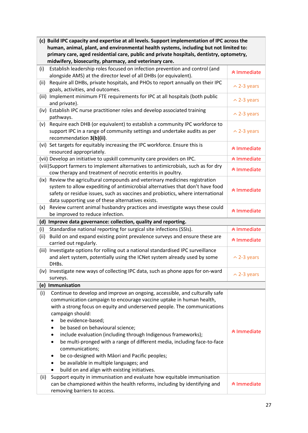|       | (c) Build IPC capacity and expertise at all levels. Support implementation of IPC across the<br>human, animal, plant, and environmental health systems, including but not limited to:<br>primary care, aged residential care, public and private hospitals, dentistry, optometry,<br>midwifery, biosecurity, pharmacy, and veterinary care.                                                                                                                                                                                                                                                                                     |                               |
|-------|---------------------------------------------------------------------------------------------------------------------------------------------------------------------------------------------------------------------------------------------------------------------------------------------------------------------------------------------------------------------------------------------------------------------------------------------------------------------------------------------------------------------------------------------------------------------------------------------------------------------------------|-------------------------------|
| (i)   | Establish leadership roles focused on infection prevention and control (and<br>alongside AMS) at the director level of all DHBs (or equivalent).                                                                                                                                                                                                                                                                                                                                                                                                                                                                                | <b>☆ Immediate</b>            |
| (ii)  | Require all DHBs, private hospitals, and PHOs to report annually on their IPC<br>goals, activities, and outcomes.                                                                                                                                                                                                                                                                                                                                                                                                                                                                                                               | $\sim$ 2-3 years              |
|       | (iii) Implement minimum FTE requirements for IPC at all hospitals (both public<br>and private).                                                                                                                                                                                                                                                                                                                                                                                                                                                                                                                                 | $\sim$ 2-3 years              |
| (iv)  | Establish IPC nurse practitioner roles and develop associated training<br>pathways.                                                                                                                                                                                                                                                                                                                                                                                                                                                                                                                                             | $\sim$ 2-3 years              |
| (v)   | Require each DHB (or equivalent) to establish a community IPC workforce to<br>support IPC in a range of community settings and undertake audits as per<br>recommendation 3(b)(ii).                                                                                                                                                                                                                                                                                                                                                                                                                                              | $\sim$ 2-3 years              |
|       | (vi) Set targets for equitably increasing the IPC workforce. Ensure this is<br>resourced appropriately.                                                                                                                                                                                                                                                                                                                                                                                                                                                                                                                         | <b><sup>☆</sup> Immediate</b> |
|       | (vii) Develop an initiative to upskill community care providers on IPC.                                                                                                                                                                                                                                                                                                                                                                                                                                                                                                                                                         | <b><sup>☆</sup> Immediate</b> |
|       | (viii)Support farmers to implement alternatives to antimicrobials, such as for dry<br>cow therapy and treatment of necrotic enteritis in poultry.                                                                                                                                                                                                                                                                                                                                                                                                                                                                               | <b><sup>★</sup> Immediate</b> |
| (ix)  | Review the agricultural compounds and veterinary medicines registration<br>system to allow expediting of antimicrobial alternatives that don't have food<br>safety or residue issues, such as vaccines and probiotics, where international<br>data supporting use of these alternatives exists.                                                                                                                                                                                                                                                                                                                                 | <b><sup>☆</sup> Immediate</b> |
| (x)   | Review current animal husbandry practices and investigate ways these could<br>be improved to reduce infection.                                                                                                                                                                                                                                                                                                                                                                                                                                                                                                                  | <b>★ Immediate</b>            |
| (d)   | Improve data governance: collection, quality and reporting.                                                                                                                                                                                                                                                                                                                                                                                                                                                                                                                                                                     |                               |
| (i)   | Standardise national reporting for surgical site infections (SSIs).                                                                                                                                                                                                                                                                                                                                                                                                                                                                                                                                                             | <b>☆ Immediate</b>            |
| (ii)  | Build on and expand existing point prevalence surveys and ensure these are<br>carried out regularly.                                                                                                                                                                                                                                                                                                                                                                                                                                                                                                                            | <b>☆ Immediate</b>            |
| (iii) | Investigate options for rolling out a national standardised IPC surveillance<br>and alert system, potentially using the ICNet system already used by some<br>DHBs.                                                                                                                                                                                                                                                                                                                                                                                                                                                              | $\sim$ 2-3 years              |
| (iv)  | Investigate new ways of collecting IPC data, such as phone apps for on-ward<br>surveys.                                                                                                                                                                                                                                                                                                                                                                                                                                                                                                                                         | $\sim$ 2-3 years              |
|       | (e) Immunisation                                                                                                                                                                                                                                                                                                                                                                                                                                                                                                                                                                                                                |                               |
| (i)   |                                                                                                                                                                                                                                                                                                                                                                                                                                                                                                                                                                                                                                 |                               |
|       | Continue to develop and improve an ongoing, accessible, and culturally safe<br>communication campaign to encourage vaccine uptake in human health,<br>with a strong focus on equity and underserved people. The communications<br>campaign should:<br>be evidence-based;<br>be based on behavioural science;<br>٠<br>include evaluation (including through Indigenous frameworks);<br>be multi-pronged with a range of different media, including face-to-face<br>communications;<br>be co-designed with Māori and Pacific peoples;<br>be available in multiple languages; and<br>build on and align with existing initiatives. | <b>☆ Immediate</b>            |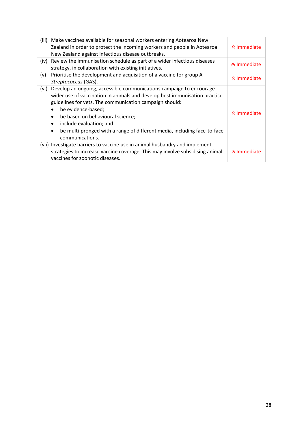| (iii) | Make vaccines available for seasonal workers entering Aotearoa New<br>Zealand in order to protect the incoming workers and people in Aotearoa<br>New Zealand against infectious disease outbreaks.                                                                                                                                                                                                                                      | ∧ Immediate            |
|-------|-----------------------------------------------------------------------------------------------------------------------------------------------------------------------------------------------------------------------------------------------------------------------------------------------------------------------------------------------------------------------------------------------------------------------------------------|------------------------|
| (iv)  | Review the immunisation schedule as part of a wider infectious diseases<br>strategy, in collaboration with existing initiatives.                                                                                                                                                                                                                                                                                                        | ∧ Immediate            |
| (v)   | Prioritise the development and acquisition of a vaccine for group A<br>Streptococcus (GAS).                                                                                                                                                                                                                                                                                                                                             | ∧ Immediate            |
| (vi)  | Develop an ongoing, accessible communications campaign to encourage<br>wider use of vaccination in animals and develop best immunisation practice<br>guidelines for vets. The communication campaign should:<br>be evidence-based;<br>be based on behavioural science;<br>$\bullet$<br>include evaluation; and<br>$\bullet$<br>be multi-pronged with a range of different media, including face-to-face<br>$\bullet$<br>communications. | ∧ Immediate            |
|       | (vii) Investigate barriers to vaccine use in animal husbandry and implement<br>strategies to increase vaccine coverage. This may involve subsidising animal<br>vaccines for zoonotic diseases.                                                                                                                                                                                                                                          | <b>&amp; Immediate</b> |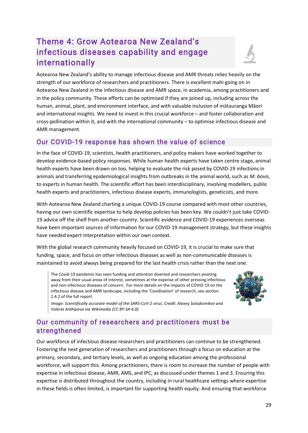# Theme 4: Grow Aotearoa New Zealand's infectious diseases capability and engage internationally



# Our COVID-19 response has shown the value of science

In the face of COVID-19, scientists, health practitioners, and policy makers have worked together to develop evidence-based policy responses. While human health experts have taken centre stage, animal health experts have been drawn on too, helping to evaluate the risk posed by COVID-19 infections in animals and transferring epidemiological insights from outbreaks in the animal world, such as *M. bovis*, to experts in human health. The scientific effort has been interdisciplinary, involving modellers, public health experts and practitioners, infectious disease experts, immunologists, geneticists, and more.

With Aotearoa New Zealand charting a unique COVID-19 course compared with most other countries, having our own scientific expertise to help develop policies has been key. We couldn't just take COVID-19 advice off the shelf from another country. Scientific evidence and COVID-19 experiences overseas have been important sources of information for our COVID-19 management strategy, but these insights have needed expert interpretation within our own context.

With the global research community heavily focused on COVID-19, it is crucial to make sure that funding, space, and focus on other infectious diseases as well as non-communicable diseases is maintained to avoid always being prepared for the last health crisis rather than the next one.

The Covid-19 pandemic has seen funding and attention diverted and researchers pivoting away from their usual areas of interest, sometimes at the expense of other pressing infectious and non-infectious diseases of concern. For more details on the impacts of COVID-19 on the infectious disease and AMR landscape, including the 'Covidisation' of research, see section 2.4.2 of the full report.



*Image: Scientifically accurate model of the SARS-CoV-2 virus. Credit: Alexey Solodovnikov and Valeria Arkhipova via [Wikimedia](https://commons.wikimedia.org/w/index.php?curid=104914011) [\(CC BY-SA 4.0\)](https://creativecommons.org/licenses/by-sa/4.0/deed.en).*

# Our community of researchers and practitioners must be strengthened

Our workforce of infectious disease researchers and practitioners can continue to be strengthened. Fostering the next generation of researchers and practitioners through a focus on education at the primary, secondary, and tertiary levels, as well as ongoing education among the professional workforce, will support this. Among practitioners, there is room to increase the number of people with expertise in infectious disease, AMR, AMS, and IPC, as discussed under themes 1 and 3. Ensuring this expertise is distributed throughout the country, including in rural healthcare settings where expertise in these fields is often limited, is important for supporting health equity. And ensuring that workforce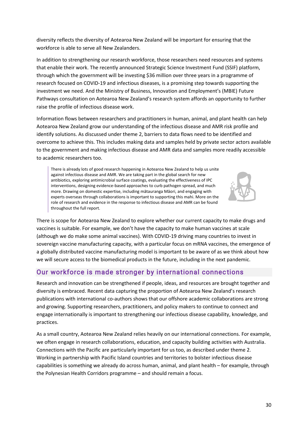diversity reflects the diversity of Aotearoa New Zealand will be important for ensuring that the workforce is able to serve all New Zealanders.

In addition to strengthening our research workforce, those researchers need resources and systems that enable their work. The recently announced Strategic Science Investment Fund (SSIF) platform, through which the government will be investing \$36 million over three years in a programme of research focused on COVID-19 and infectious diseases, is a promising step towards supporting the investment we need. And the Ministry of Business, Innovation and Employment's (MBIE) Future Pathways consultation on Aotearoa New Zealand's research system affords an opportunity to further raise the profile of infectious disease work.

Information flows between researchers and practitioners in human, animal, and plant health can help Aotearoa New Zealand grow our understanding of the infectious disease and AMR risk profile and identify solutions. As discussed under theme 2, barriers to data flows need to be identified and overcome to achieve this. This includes making data and samples held by private sector actors available to the government and making infectious disease and AMR data and samples more readily accessible to academic researchers too.

There is already lots of good research happening in Aotearoa New Zealand to help us unite against infectious disease and AMR. We are taking part in the global search for new antibiotics, exploring antimicrobial surface coatings, evaluating the effectiveness of IPC interventions, designing evidence-based approaches to curb pathogen spread, and much more. Drawing on domestic expertise, including mātauranga Māori, and engaging with experts overseas through collaborations is important to supporting this mahi. More on the role of research and evidence in the response to infectious disease and AMR can be found throughout the full report.



There is scope for Aotearoa New Zealand to explore whether our current capacity to make drugs and vaccines is suitable. For example, we don't have the capacity to make human vaccines at scale (although we do make some animal vaccines). With COVID-19 driving many countries to invest in sovereign vaccine manufacturing capacity, with a particular focus on mRNA vaccines, the emergence of a globally distributed vaccine manufacturing model is important to be aware of as we think about how we will secure access to the biomedical products in the future, including in the next pandemic.

# Our workforce is made stronger by international connec tions

Research and innovation can be strengthened if people, ideas, and resources are brought together and diversity is embraced. Recent data capturing the proportion of Aotearoa New Zealand's research publications with international co-authors shows that our offshore academic collaborations are strong and growing. Supporting researchers, practitioners, and policy makers to continue to connect and engage internationally is important to strengthening our infectious disease capability, knowledge, and practices.

As a small country, Aotearoa New Zealand relies heavily on our international connections. For example, we often engage in research collaborations, education, and capacity building activities with Australia. Connections with the Pacific are particularly important for us too, as described under theme 2. Working in partnership with Pacific Island countries and territories to bolster infectious disease capabilities is something we already do across human, animal, and plant health – for example, through the Polynesian Health Corridors programme – and should remain a focus.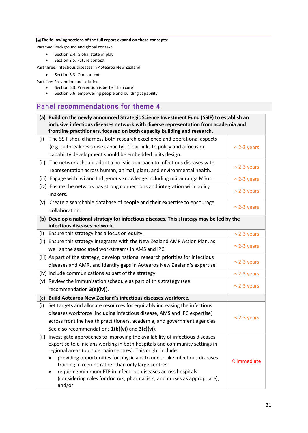#### **The following sections of the full report expand on these concepts:**

Part two: Background and global context

- Section 2.4: Global state of play
- Section 2.5: Future context

Part three: Infectious diseases in Aotearoa New Zealand

• Section 3.3: Our context

Part five: Prevention and solutions

- Section 5.3: Prevention is better than cure
- Section 5.6: empowering people and building capability

### Panel recommendations for theme 4

|      | (a) Build on the newly announced Strategic Science Investment Fund (SSIF) to establish an                                                 |                    |
|------|-------------------------------------------------------------------------------------------------------------------------------------------|--------------------|
|      | inclusive infectious diseases network with diverse representation from academia and                                                       |                    |
|      | frontline practitioners, focused on both capacity building and research.                                                                  |                    |
| (i)  | The SSIF should harness both research excellence and operational aspects                                                                  |                    |
|      | (e.g. outbreak response capacity). Clear links to policy and a focus on                                                                   | $\sim$ 2-3 years   |
|      | capability development should be embedded in its design.                                                                                  |                    |
| (ii) | The network should adopt a holistic approach to infectious diseases with                                                                  |                    |
|      | representation across human, animal, plant, and environmental health.                                                                     | $\sim$ 2-3 years   |
|      | (iii) Engage with iwi and Indigenous knowledge including mātauranga Māori.                                                                | $\sim$ 2-3 years   |
|      | (iv) Ensure the network has strong connections and integration with policy                                                                |                    |
|      | makers.                                                                                                                                   | $\sim$ 2-3 years   |
| (v)  | Create a searchable database of people and their expertise to encourage                                                                   |                    |
|      | collaboration.                                                                                                                            | $\sim$ 2-3 years   |
|      | (b) Develop a national strategy for infectious diseases. This strategy may be led by the                                                  |                    |
|      | infectious diseases network.                                                                                                              |                    |
| (i)  | Ensure this strategy has a focus on equity.                                                                                               | $\sim$ 2-3 years   |
| (ii) | Ensure this strategy integrates with the New Zealand AMR Action Plan, as                                                                  |                    |
|      | well as the associated workstreams in AMS and IPC.                                                                                        | $\sim$ 2-3 years   |
|      | (iii) As part of the strategy, develop national research priorities for infectious                                                        |                    |
|      | diseases and AMR, and identify gaps in Aotearoa New Zealand's expertise.                                                                  | $\sim$ 2-3 years   |
|      | (iv) Include communications as part of the strategy.                                                                                      | $\sim$ 2-3 years   |
| (v)  | Review the immunisation schedule as part of this strategy (see                                                                            |                    |
|      | recommendation 3(e)(iv)).                                                                                                                 | $\sim$ 2-3 years   |
| (c)  | Build Aotearoa New Zealand's infectious diseases workforce.                                                                               |                    |
| (i)  | Set targets and allocate resources for equitably increasing the infectious                                                                |                    |
|      | diseases workforce (including infectious disease, AMS and IPC expertise)                                                                  |                    |
|      | across frontline health practitioners, academia, and government agencies.                                                                 | $\sim$ 2-3 years   |
|      | See also recommendations 1(b)(vi) and 3(c)(vi).                                                                                           |                    |
|      | (ii) Investigate approaches to improving the availability of infectious diseases                                                          |                    |
|      | expertise to clinicians working in both hospitals and community settings in                                                               |                    |
|      | regional areas (outside main centres). This might include:                                                                                |                    |
|      | providing opportunities for physicians to undertake infectious diseases                                                                   | <b>☆ Immediate</b> |
|      | training in regions rather than only large centres;                                                                                       |                    |
|      | requiring minimum FTE in infectious diseases across hospitals<br>(considering roles for doctors, pharmacists, and nurses as appropriate); |                    |
|      | and/or                                                                                                                                    |                    |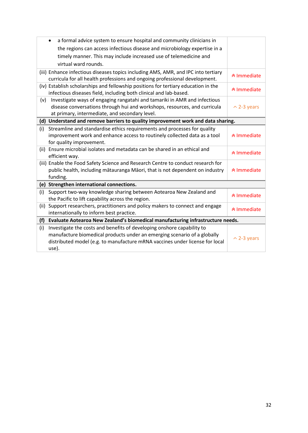|      | a formal advice system to ensure hospital and community clinicians in<br>$\bullet$ |                               |
|------|------------------------------------------------------------------------------------|-------------------------------|
|      | the regions can access infectious disease and microbiology expertise in a          |                               |
|      | timely manner. This may include increased use of telemedicine and                  |                               |
|      | virtual ward rounds.                                                               |                               |
|      | (iii) Enhance infectious diseases topics including AMS, AMR, and IPC into tertiary | <b><sup>∧</sup>Immediate</b>  |
|      | curricula for all health professions and ongoing professional development.         |                               |
|      | (iv) Establish scholarships and fellowship positions for tertiary education in the | <sup>★</sup> Immediate        |
|      | infectious diseases field, including both clinical and lab-based.                  |                               |
| (v)  | Investigate ways of engaging rangatahi and tamariki in AMR and infectious          |                               |
|      | disease conversations through hui and workshops, resources, and curricula          | $\sim$ 2-3 years              |
|      | at primary, intermediate, and secondary level.                                     |                               |
|      | (d) Understand and remove barriers to quality improvement work and data sharing.   |                               |
| (i)  | Streamline and standardise ethics requirements and processes for quality           |                               |
|      | improvement work and enhance access to routinely collected data as a tool          | <b><sup>∧</sup>Immediate</b>  |
|      | for quality improvement.                                                           |                               |
|      | (ii) Ensure microbial isolates and metadata can be shared in an ethical and        | <b><sup>★</sup> Immediate</b> |
|      | efficient way.                                                                     |                               |
|      | (iii) Enable the Food Safety Science and Research Centre to conduct research for   |                               |
|      | public health, including mātauranga Māori, that is not dependent on industry       | <b><sup>★</sup> Immediate</b> |
|      | funding.                                                                           |                               |
|      | (e) Strengthen international connections.                                          |                               |
| (i)  | Support two-way knowledge sharing between Aotearoa New Zealand and                 | <b>★ Immediate</b>            |
|      | the Pacific to lift capability across the region.                                  |                               |
| (ii) | Support researchers, practitioners and policy makers to connect and engage         | <b><sup>∧</sup>Immediate</b>  |
|      | internationally to inform best practice.                                           |                               |
| (f)  | Evaluate Aotearoa New Zealand's biomedical manufacturing infrastructure needs.     |                               |
| (i)  | Investigate the costs and benefits of developing onshore capability to             |                               |
|      | manufacture biomedical products under an emerging scenario of a globally           |                               |
|      | distributed model (e.g. to manufacture mRNA vaccines under license for local       | $\sim$ 2-3 years              |
|      | use).                                                                              |                               |
|      |                                                                                    |                               |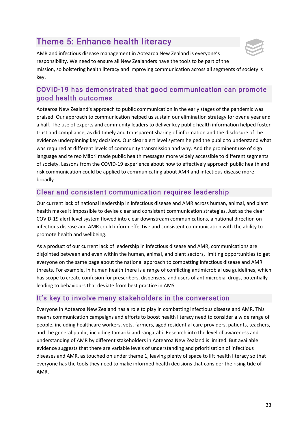# Theme 5: Enhance health literacy



AMR and infectious disease management in Aotearoa New Zealand is everyone's responsibility. We need to ensure all New Zealanders have the tools to be part of the mission, so bolstering health literacy and improving communication across all segments of society is key.

# COVID-19 has demonstrated that good communication can promote good health outcomes

Aotearoa New Zealand's approach to public communication in the early stages of the pandemic was praised. Our approach to communication helped us sustain our elimination strategy for over a year and a half. The use of experts and community leaders to deliver key public health information helped foster trust and compliance, as did timely and transparent sharing of information and the disclosure of the evidence underpinning key decisions. Our clear alert level system helped the public to understand what was required at different levels of community transmission and why. And the prominent use of sign language and te reo Māori made public health messages more widely accessible to different segments of society. Lessons from the COVID-19 experience about how to effectively approach public health and risk communication could be applied to communicating about AMR and infectious disease more broadly.

# Clear and consistent communication requires leadership

Our current lack of national leadership in infectious disease and AMR across human, animal, and plant health makes it impossible to devise clear and consistent communication strategies. Just as the clear COVID-19 alert level system flowed into clear downstream communications, a national direction on infectious disease and AMR could inform effective and consistent communication with the ability to promote health and wellbeing.

As a product of our current lack of leadership in infectious disease and AMR, communications are disjointed between and even within the human, animal, and plant sectors, limiting opportunities to get everyone on the same page about the national approach to combatting infectious disease and AMR threats. For example, in human health there is a range of conflicting antimicrobial use guidelines, which has scope to create confusion for prescribers, dispensers, and users of antimicrobial drugs, potentially leading to behaviours that deviate from best practice in AMS.

# It's key to involve many stakeholders in the conversation

Everyone in Aotearoa New Zealand has a role to play in combatting infectious disease and AMR. This means communication campaigns and efforts to boost health literacy need to consider a wide range of people, including healthcare workers, vets, farmers, aged residential care providers, patients, teachers, and the general public, including tamariki and rangatahi. Research into the level of awareness and understanding of AMR by different stakeholders in Aotearoa New Zealand is limited. But available evidence suggests that there are variable levels of understanding and prioritisation of infectious diseases and AMR, as touched on under theme 1, leaving plenty of space to lift health literacy so that everyone has the tools they need to make informed health decisions that consider the rising tide of AMR.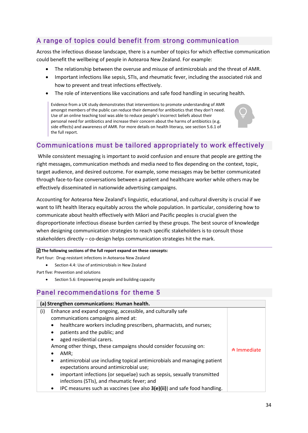# A range of topics could benefit from strong communication

Across the infectious disease landscape, there is a number of topics for which effective communication could benefit the wellbeing of people in Aotearoa New Zealand. For example:

- The relationship between the overuse and misuse of antimicrobials and the threat of AMR.
- Important infections like sepsis, STIs, and rheumatic fever, including the associated risk and how to prevent and treat infections effectively.
- The role of interventions like vaccinations and safe food handling in securing health.

Evidence from a UK study demonstrates that interventions to promote understanding of AMR amongst members of the public can reduce their demand for antibiotics that they don't need. Use of an online teaching tool was able to reduce people's incorrect beliefs about their personal need for antibiotics and increase their concern about the harms of antibiotics (e.g. side effects) and awareness of AMR. For more details on health literacy, see section 5.6.1 of the full report.



# Communications must be tailored appropriately to work effectively

While consistent messaging is important to avoid confusion and ensure that people are getting the right messages, communication methods and media need to flex depending on the context, topic, target audience, and desired outcome. For example, some messages may be better communicated through face-to-face conversations between a patient and healthcare worker while others may be effectively disseminated in nationwide advertising campaigns.

Accounting for Aotearoa New Zealand's linguistic, educational, and cultural diversity is crucial if we want to lift health literacy equitably across the whole population. In particular, considering how to communicate about health effectively with Māori and Pacific peoples is crucial given the disproportionate infectious disease burden carried by these groups. The best source of knowledge when designing communication strategies to reach specific stakeholders is to consult those stakeholders directly – co-design helps communication strategies hit the mark.

#### **The following sections of the full report expand on these concepts:**

Part four: Drug-resistant infections in Aotearoa New Zealand

Section 4.4: Use of antimicrobials in New Zealand

Part five: Prevention and solutions

Section 5.6: Empowering people and building capacity

### Panel recommendations for theme 5

| (a) Strengthen communications: Human health.                                                                                                                                                                                                                                                                                                                                                                                                                                                                                                                                                                                            |                    |
|-----------------------------------------------------------------------------------------------------------------------------------------------------------------------------------------------------------------------------------------------------------------------------------------------------------------------------------------------------------------------------------------------------------------------------------------------------------------------------------------------------------------------------------------------------------------------------------------------------------------------------------------|--------------------|
| Enhance and expand ongoing, accessible, and culturally safe<br>(i)<br>communications campaigns aimed at:<br>healthcare workers including prescribers, pharmacists, and nurses;<br>$\bullet$<br>patients and the public; and<br>$\bullet$<br>aged residential carers.<br>$\bullet$<br>Among other things, these campaigns should consider focussing on:<br>AMR;<br>antimicrobial use including topical antimicrobials and managing patient<br>$\bullet$<br>expectations around antimicrobial use;<br>important infections (or sequelae) such as sepsis, sexually transmitted<br>$\bullet$<br>infections (STIs), and rheumatic fever; and | <b>☆ Immediate</b> |
| IPC measures such as vaccines (see also $3(e)(ii)$ ) and safe food handling.<br>$\bullet$                                                                                                                                                                                                                                                                                                                                                                                                                                                                                                                                               |                    |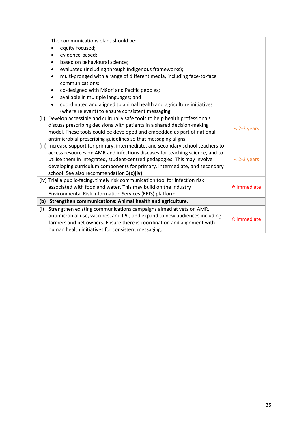|     | The communications plans should be:                                                |                               |  |
|-----|------------------------------------------------------------------------------------|-------------------------------|--|
|     | equity-focused;                                                                    |                               |  |
|     | evidence-based;                                                                    |                               |  |
|     | based on behavioural science;                                                      |                               |  |
|     | evaluated (including through Indigenous frameworks);                               |                               |  |
|     | multi-pronged with a range of different media, including face-to-face              |                               |  |
|     | communications;                                                                    |                               |  |
|     | co-designed with Māori and Pacific peoples;                                        |                               |  |
|     | available in multiple languages; and                                               |                               |  |
|     | coordinated and aligned to animal health and agriculture initiatives               |                               |  |
|     | (where relevant) to ensure consistent messaging.                                   |                               |  |
|     | (ii) Develop accessible and culturally safe tools to help health professionals     |                               |  |
|     | discuss prescribing decisions with patients in a shared decision-making            | $\sim$ 2-3 years              |  |
|     | model. These tools could be developed and embedded as part of national             |                               |  |
|     | antimicrobial prescribing guidelines so that messaging aligns.                     |                               |  |
|     | (iii) Increase support for primary, intermediate, and secondary school teachers to |                               |  |
|     | access resources on AMR and infectious diseases for teaching science, and to       |                               |  |
|     | utilise them in integrated, student-centred pedagogies. This may involve           | $\sim$ 2-3 years              |  |
|     | developing curriculum components for primary, intermediate, and secondary          |                               |  |
|     | school. See also recommendation 3(c)(iv).                                          |                               |  |
|     | (iv) Trial a public-facing, timely risk communication tool for infection risk      |                               |  |
|     | associated with food and water. This may build on the industry                     | <b><sup>★</sup> Immediate</b> |  |
|     | Environmental Risk Information Services (ERIS) platform.                           |                               |  |
|     | (b) Strengthen communications: Animal health and agriculture.                      |                               |  |
| (i) | Strengthen existing communications campaigns aimed at vets on AMR,                 |                               |  |
|     | antimicrobial use, vaccines, and IPC, and expand to new audiences including        | <sup>★</sup> Immediate        |  |
|     | farmers and pet owners. Ensure there is coordination and alignment with            |                               |  |
|     | human health initiatives for consistent messaging.                                 |                               |  |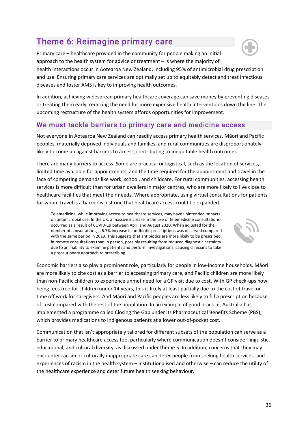36

# Theme 6: Reimagine primary care

Primary care – healthcare provided in the community for people making an initial approach to the health system for advice or treatment – is where the majority of health interactions occur in Aotearoa New Zealand, including 95% of antimicrobial drug prescription and use. Ensuring primary care services are optimally set up to equitably detect and treat infectious diseases and foster AMS is key to improving health outcomes.

In addition, achieving widespread primary healthcare coverage can save money by preventing diseases or treating them early, reducing the need for more expensive health interventions down the line. The upcoming restructure of the health system affords opportunities for improvement.

# We must tackle barriers to primary care and medicine access

Not everyone in Aotearoa New Zealand can readily access primary health services. Māori and Pacific peoples, materially deprived individuals and families, and rural communities are disproportionately likely to come up against barriers to access, contributing to inequitable health outcomes.

There are many barriers to access. Some are practical or logistical, such as the location of services, limited time available for appointments, and the time required for the appointment and travel in the face of competing demands like work, school, and childcare. For rural communities, accessing health services is more difficult than for urban dwellers in major centres, who are more likely to live close to healthcare facilities that meet their needs. Where appropriate, using virtual consultations for patients for whom travel is a barrier is just one that healthcare access could be expanded.

Telemedicine, while improving access to healthcare services, may have unintended impacts on antimicrobial use. In the UK, a massive increase in the use of telemedicine consultations occurred as a result of COVID-19 between April and August 2020. When adjusted for the number of consultations, a 6.7% increase in antibiotic prescriptions was observed compared with the same period in 2019. This suggests that antibiotics are more likely to be prescribed in remote consultations than in person, possibly resulting from reduced diagnostic certainty due to an inability to examine patients and perform investigations, causing clinicians to take a precautionary approach to prescribing.

Economic barriers also play a prominent role, particularly for people in low-income households. Māori are more likely to cite cost as a barrier to accessing primary care, and Pacific children are more likely than non-Pacific children to experience unmet need for a GP visit due to cost. With GP check-ups now being fees free for children under 14 years, this is likely at least partially due to the cost of travel or time off work for caregivers. And Māori and Pacific peoples are less likely to fill a prescription because of cost compared with the rest of the population. In an example of good practice, Australia has implemented a programme called Closing the Gap under its Pharmaceutical Benefits Scheme (PBS), which provides medications to Indigenous patients at a lower out-of-pocket cost.

Communication that isn't appropriately tailored for different subsets of the population can serve as a barrier to primary healthcare access too, particularly where communication doesn't consider linguistic, educational, and cultural diversity, as discussed under theme 5. In addition, concerns that they may encounter racism or culturally inappropriate care can deter people from seeking health services, and experiences of racism in the health system – institutionalised and otherwise – can reduce the utility of the healthcare experience and deter future health seeking behaviour.



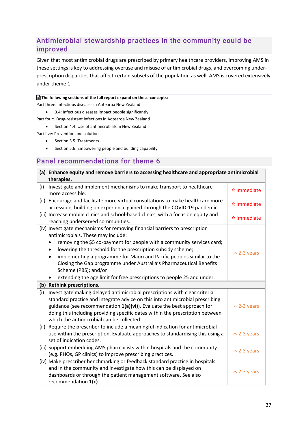# Antimicrobial stewardship practices in the community could be improved

Given that most antimicrobial drugs are prescribed by primary healthcare providers, improving AMS in these settings is key to addressing overuse and misuse of antimicrobial drugs, and overcoming underprescription disparities that affect certain subsets of the population as well. AMS is covered extensively under theme 1.

#### **The following sections of the full report expand on these concepts:**

Part three: Infectious diseases in Aotearoa New Zealand

• 3.4: Infectious diseases impact people significantly

Part four: Drug-resistant infections in Aotearoa New Zealand

• Section 4.4: Use of antimicrobials in New Zealand

Part five: Prevention and solutions

- Section 5.5: Treatments
- Section 5.6: Empowering people and building capability

### Panel recommendations for theme 6

| (a) Enhance equity and remove barriers to accessing healthcare and appropriate antimicrobial                                                                                                                                                                                                                                                                                                                                                                                                                                           |                    |  |  |
|----------------------------------------------------------------------------------------------------------------------------------------------------------------------------------------------------------------------------------------------------------------------------------------------------------------------------------------------------------------------------------------------------------------------------------------------------------------------------------------------------------------------------------------|--------------------|--|--|
| therapies.                                                                                                                                                                                                                                                                                                                                                                                                                                                                                                                             |                    |  |  |
| Investigate and implement mechanisms to make transport to healthcare<br>(i)<br>more accessible.                                                                                                                                                                                                                                                                                                                                                                                                                                        | <b>★ Immediate</b> |  |  |
| (ii) Encourage and facilitate more virtual consultations to make healthcare more<br>accessible, building on experience gained through the COVID-19 pandemic.                                                                                                                                                                                                                                                                                                                                                                           | <b>☆ Immediate</b> |  |  |
| (iii) Increase mobile clinics and school-based clinics, with a focus on equity and<br>reaching underserved communities.                                                                                                                                                                                                                                                                                                                                                                                                                | <b>★ Immediate</b> |  |  |
| (iv) Investigate mechanisms for removing financial barriers to prescription<br>antimicrobials. These may include:<br>removing the \$5 co-payment for people with a community services card;<br>lowering the threshold for the prescription subsidy scheme;<br>$\bullet$<br>implementing a programme for Māori and Pacific peoples similar to the<br>$\bullet$<br>Closing the Gap programme under Australia's Pharmaceutical Benefits<br>Scheme (PBS); and/or<br>extending the age limit for free prescriptions to people 25 and under. | $\sim$ 2-3 years   |  |  |
| (b) Rethink prescriptions.                                                                                                                                                                                                                                                                                                                                                                                                                                                                                                             |                    |  |  |
| Investigate making delayed antimicrobial prescriptions with clear criteria<br>(i)<br>standard practice and integrate advice on this into antimicrobial prescribing<br>guidance (see recommendation 1(a)(vi)). Evaluate the best approach for<br>doing this including providing specific dates within the prescription between<br>which the antimicrobial can be collected.                                                                                                                                                             | $\sim$ 2-3 years   |  |  |
| (ii) Require the prescriber to include a meaningful indication for antimicrobial<br>use within the prescription. Evaluate approaches to standardising this using a<br>set of indication codes.                                                                                                                                                                                                                                                                                                                                         | $\sim$ 2-3 years   |  |  |
| (iii) Support embedding AMS pharmacists within hospitals and the community<br>(e.g. PHOs, GP clinics) to improve prescribing practices.                                                                                                                                                                                                                                                                                                                                                                                                | $\sim$ 2-3 years   |  |  |
| (iv) Make prescriber benchmarking or feedback standard practice in hospitals<br>and in the community and investigate how this can be displayed on<br>dashboards or through the patient management software. See also<br>recommendation 1(c).                                                                                                                                                                                                                                                                                           | $\sim$ 2-3 years   |  |  |